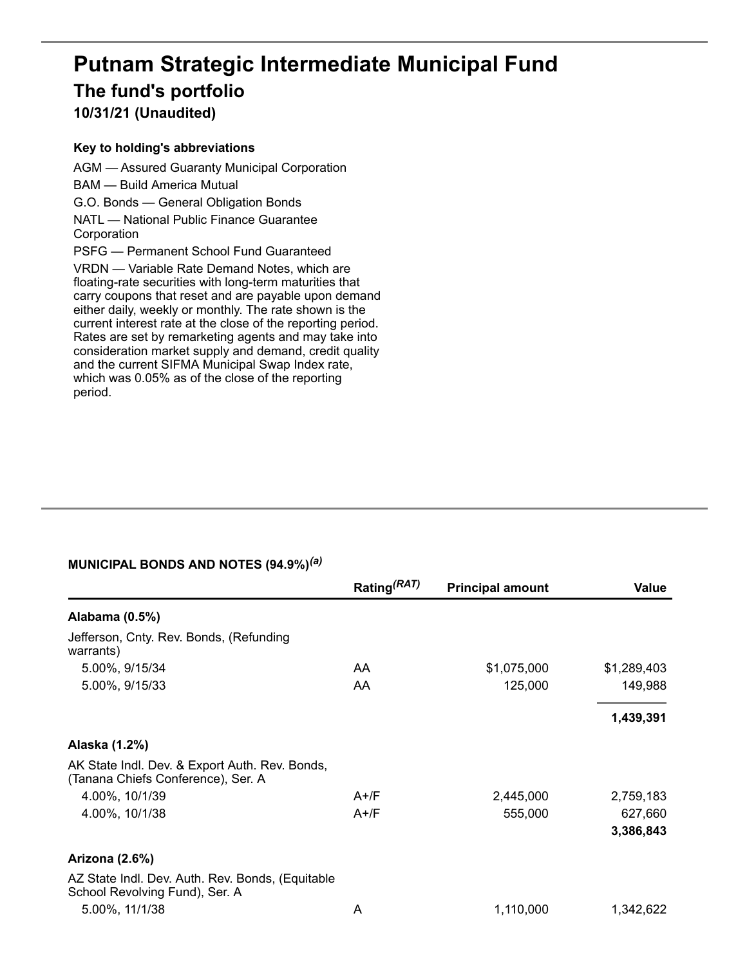# **Putnam Strategic Intermediate Municipal Fund The fund's portfolio**

**10/31/21 (Unaudited)**

#### **Key to holding's abbreviations**

AGM — Assured Guaranty Municipal Corporation BAM — Build America Mutual G.O. Bonds — General Obligation Bonds NATL — National Public Finance Guarantee Corporation PSFG — Permanent School Fund Guaranteed VRDN — Variable Rate Demand Notes, which are floating-rate securities with long-term maturities that carry coupons that reset and are payable upon demand either daily, weekly or monthly. The rate shown is the current interest rate at the close of the reporting period. Rates are set by remarketing agents and may take into consideration market supply and demand, credit quality and the current SIFMA Municipal Swap Index rate, which was 0.05% as of the close of the reporting period.

#### **MUNICIPAL BONDS AND NOTES (94.9%)** *(a)*

|                                                                                      | Rating <sup>(RAT)</sup> | <b>Principal amount</b> | <b>Value</b> |
|--------------------------------------------------------------------------------------|-------------------------|-------------------------|--------------|
| Alabama (0.5%)                                                                       |                         |                         |              |
| Jefferson, Cnty. Rev. Bonds, (Refunding<br>warrants)                                 |                         |                         |              |
| 5.00%, 9/15/34                                                                       | AA.                     | \$1,075,000             | \$1,289,403  |
| 5.00%, 9/15/33                                                                       | AA.                     | 125,000                 | 149,988      |
|                                                                                      |                         |                         | 1,439,391    |
| Alaska (1.2%)                                                                        |                         |                         |              |
| AK State Indl. Dev. & Export Auth. Rev. Bonds,<br>(Tanana Chiefs Conference), Ser. A |                         |                         |              |
| 4.00%, 10/1/39                                                                       | $A+$ /F                 | 2,445,000               | 2,759,183    |
| 4.00%, 10/1/38                                                                       | $A+$ /F                 | 555,000                 | 627,660      |
|                                                                                      |                         |                         | 3,386,843    |
| <b>Arizona (2.6%)</b>                                                                |                         |                         |              |
| AZ State Indl. Dev. Auth. Rev. Bonds, (Equitable<br>School Revolving Fund), Ser. A   |                         |                         |              |
| 5.00%, 11/1/38                                                                       | A                       | 1,110,000               | 1,342,622    |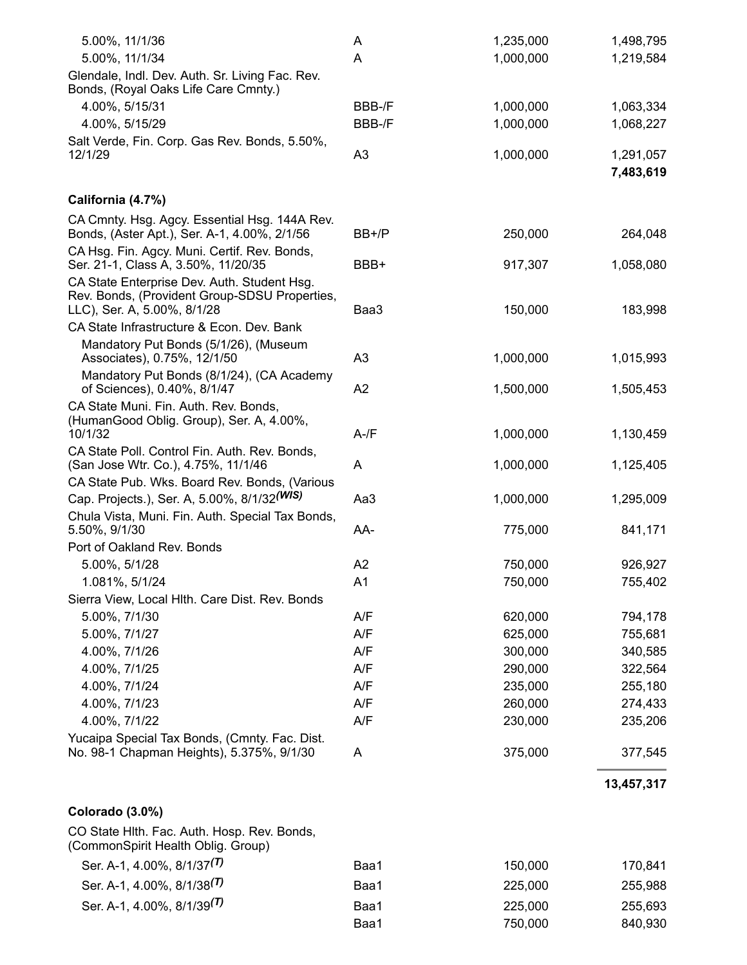| 5.00%, 11/1/36                                                                                                              | A              | 1,235,000 | 1,498,795              |
|-----------------------------------------------------------------------------------------------------------------------------|----------------|-----------|------------------------|
| 5.00%, 11/1/34                                                                                                              | Α              | 1,000,000 | 1,219,584              |
| Glendale, Indl. Dev. Auth. Sr. Living Fac. Rev.<br>Bonds, (Royal Oaks Life Care Cmnty.)                                     |                |           |                        |
| 4.00%, 5/15/31                                                                                                              | BBB-/F         | 1,000,000 | 1,063,334              |
| 4.00%, 5/15/29                                                                                                              | BBB-/F         | 1,000,000 | 1,068,227              |
| Salt Verde, Fin. Corp. Gas Rev. Bonds, 5.50%,<br>12/1/29                                                                    | A <sub>3</sub> | 1,000,000 | 1,291,057<br>7,483,619 |
| California (4.7%)                                                                                                           |                |           |                        |
| CA Cmnty. Hsg. Agcy. Essential Hsg. 144A Rev.<br>Bonds, (Aster Apt.), Ser. A-1, 4.00%, 2/1/56                               | BB+/P          | 250,000   | 264,048                |
| CA Hsg. Fin. Agcy. Muni. Certif. Rev. Bonds,<br>Ser. 21-1, Class A, 3.50%, 11/20/35                                         | BBB+           | 917,307   | 1,058,080              |
| CA State Enterprise Dev. Auth. Student Hsg.<br>Rev. Bonds, (Provident Group-SDSU Properties,<br>LLC), Ser. A, 5.00%, 8/1/28 | Baa3           | 150,000   | 183,998                |
| CA State Infrastructure & Econ. Dev. Bank                                                                                   |                |           |                        |
| Mandatory Put Bonds (5/1/26), (Museum<br>Associates), 0.75%, 12/1/50                                                        | A <sub>3</sub> | 1,000,000 | 1,015,993              |
| Mandatory Put Bonds (8/1/24), (CA Academy<br>of Sciences), 0.40%, 8/1/47                                                    | A2             | 1,500,000 | 1,505,453              |
| CA State Muni. Fin. Auth. Rev. Bonds,<br>(HumanGood Oblig. Group), Ser. A, 4.00%,<br>10/1/32                                | $A$ -/ $F$     | 1,000,000 | 1,130,459              |
| CA State Poll. Control Fin. Auth. Rev. Bonds,                                                                               |                |           |                        |
| (San Jose Wtr. Co.), 4.75%, 11/1/46                                                                                         | A              | 1,000,000 | 1,125,405              |
| CA State Pub. Wks. Board Rev. Bonds, (Various                                                                               |                |           |                        |
| Cap. Projects.), Ser. A, 5.00%, 8/1/32(WIS)                                                                                 | Aa3            | 1,000,000 | 1,295,009              |
| Chula Vista, Muni. Fin. Auth. Special Tax Bonds,<br>5.50%, 9/1/30                                                           | AA-            | 775,000   | 841,171                |
| Port of Oakland Rev. Bonds                                                                                                  |                |           |                        |
| 5.00%, 5/1/28                                                                                                               | A2             | 750,000   | 926,927                |
| 1.081%, 5/1/24                                                                                                              | A1             | 750,000   | 755,402                |
| Sierra View, Local Hith. Care Dist. Rev. Bonds                                                                              |                |           |                        |
| 5.00%, 7/1/30                                                                                                               | A/F            | 620,000   | 794,178                |
| 5.00%, 7/1/27                                                                                                               | A/F            | 625,000   | 755,681                |
| 4.00%, 7/1/26                                                                                                               | A/F            | 300,000   | 340,585                |
| 4.00%, 7/1/25                                                                                                               | A/F            | 290,000   | 322,564                |
| 4.00%, 7/1/24                                                                                                               | A/F            | 235,000   | 255,180                |
| 4.00%, 7/1/23                                                                                                               | A/F            | 260,000   | 274,433                |
| 4.00%, 7/1/22                                                                                                               | A/F            | 230,000   | 235,206                |
| Yucaipa Special Tax Bonds, (Cmnty. Fac. Dist.<br>No. 98-1 Chapman Heights), 5.375%, 9/1/30                                  | A              | 375,000   | 377,545                |
|                                                                                                                             |                |           |                        |

### **13,457,317**

#### **Colorado (3.0%)**

CO State Hlth. Fac. Auth. Hosp. Rev. Bonds, (CommonSpirit Health Oblig. Group)

| Ser. A-1, 4.00%, 8/1/37 <sup>(T)</sup> | Baa1 | 150,000 | 170,841 |
|----------------------------------------|------|---------|---------|
| Ser. A-1, 4.00%, 8/1/38 <sup>(T)</sup> | Baa1 | 225,000 | 255,988 |
| Ser. A-1, 4.00%, 8/1/39 <sup>(T)</sup> | Baa1 | 225,000 | 255,693 |
|                                        | Baa1 | 750.000 | 840,930 |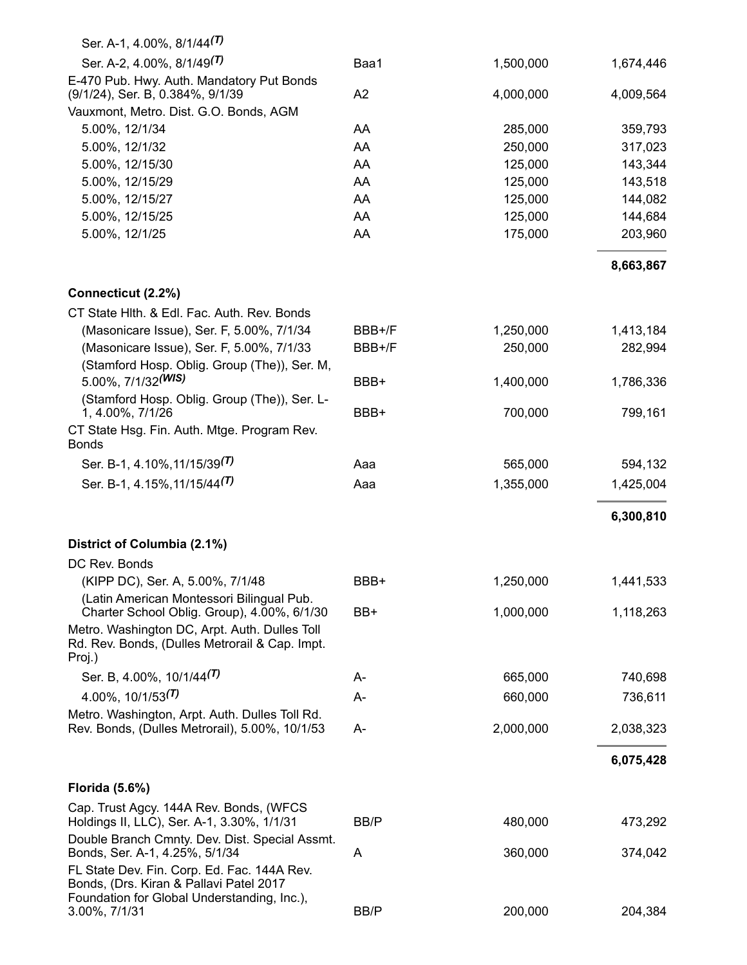| Ser. A-1, 4.00%, 8/1/44 <sup>(T)</sup>                                                                    |        |           |           |
|-----------------------------------------------------------------------------------------------------------|--------|-----------|-----------|
| Ser. A-2, 4.00%, 8/1/49 <sup>(T)</sup>                                                                    | Baa1   | 1,500,000 | 1,674,446 |
| E-470 Pub. Hwy. Auth. Mandatory Put Bonds<br>(9/1/24), Ser. B, 0.384%, 9/1/39                             | A2     | 4,000,000 | 4,009,564 |
| Vauxmont, Metro. Dist. G.O. Bonds, AGM                                                                    |        |           |           |
| 5.00%, 12/1/34                                                                                            | AA     | 285,000   | 359,793   |
| 5.00%, 12/1/32                                                                                            | AA     | 250,000   | 317,023   |
| 5.00%, 12/15/30                                                                                           | AA     | 125,000   | 143,344   |
| 5.00%, 12/15/29                                                                                           | AA     | 125,000   | 143,518   |
| 5.00%, 12/15/27                                                                                           | AA     | 125,000   | 144,082   |
| 5.00%, 12/15/25                                                                                           | AA     | 125,000   | 144,684   |
| 5.00%, 12/1/25                                                                                            | AA     | 175,000   | 203,960   |
|                                                                                                           |        |           | 8,663,867 |
| Connecticut (2.2%)                                                                                        |        |           |           |
| CT State Hlth. & Edl. Fac. Auth. Rev. Bonds                                                               |        |           |           |
| (Masonicare Issue), Ser. F, 5.00%, 7/1/34                                                                 | BBB+/F | 1,250,000 | 1,413,184 |
| (Masonicare Issue), Ser. F, 5.00%, 7/1/33<br>(Stamford Hosp. Oblig. Group (The)), Ser. M,                 | BBB+/F | 250,000   | 282,994   |
| 5.00%, $7/1/32$ <sup>(WIS)</sup>                                                                          | BBB+   | 1,400,000 | 1,786,336 |
| (Stamford Hosp. Oblig. Group (The)), Ser. L-<br>1, 4.00%, 7/1/26                                          | BBB+   | 700,000   | 799,161   |
| CT State Hsg. Fin. Auth. Mtge. Program Rev.<br><b>Bonds</b>                                               |        |           |           |
| Ser. B-1, 4.10%, 11/15/39 <sup>(1)</sup>                                                                  | Aaa    | 565,000   | 594,132   |
| Ser. B-1, 4.15%, 11/15/44 <sup>(T)</sup>                                                                  | Aaa    | 1,355,000 | 1,425,004 |
|                                                                                                           |        |           | 6,300,810 |
| District of Columbia (2.1%)                                                                               |        |           |           |
| DC Rev. Bonds                                                                                             |        |           |           |
| (KIPP DC), Ser. A, 5.00%, 7/1/48                                                                          | BBB+   | 1,250,000 | 1,441,533 |
| (Latin American Montessori Bilingual Pub.<br>Charter School Oblig. Group), 4.00%, 6/1/30                  | BB+    | 1,000,000 | 1,118,263 |
| Metro. Washington DC, Arpt. Auth. Dulles Toll<br>Rd. Rev. Bonds, (Dulles Metrorail & Cap. Impt.<br>Proj.) |        |           |           |
| Ser. B, 4.00%, 10/1/44 <sup>(T)</sup>                                                                     | А-     | 665,000   | 740,698   |
| 4.00%, $10/1/53^{(T)}$                                                                                    | A-     | 660,000   | 736,611   |
| Metro. Washington, Arpt. Auth. Dulles Toll Rd.<br>Rev. Bonds, (Dulles Metrorail), 5.00%, 10/1/53          | A-     | 2,000,000 | 2,038,323 |
|                                                                                                           |        |           | 6,075,428 |
| <b>Florida (5.6%)</b>                                                                                     |        |           |           |
| Cap. Trust Agcy. 144A Rev. Bonds, (WFCS<br>Holdings II, LLC), Ser. A-1, 3.30%, 1/1/31                     | BB/P   | 480,000   | 473,292   |
| Double Branch Cmnty. Dev. Dist. Special Assmt.<br>Bonds, Ser. A-1, 4.25%, 5/1/34                          | A      | 360,000   | 374,042   |
| FL State Dev. Fin. Corp. Ed. Fac. 144A Rev.<br>Bonds, (Drs. Kiran & Pallavi Patel 2017                    |        |           |           |
| Foundation for Global Understanding, Inc.),<br>3.00%, 7/1/31                                              | BB/P   | 200,000   | 204,384   |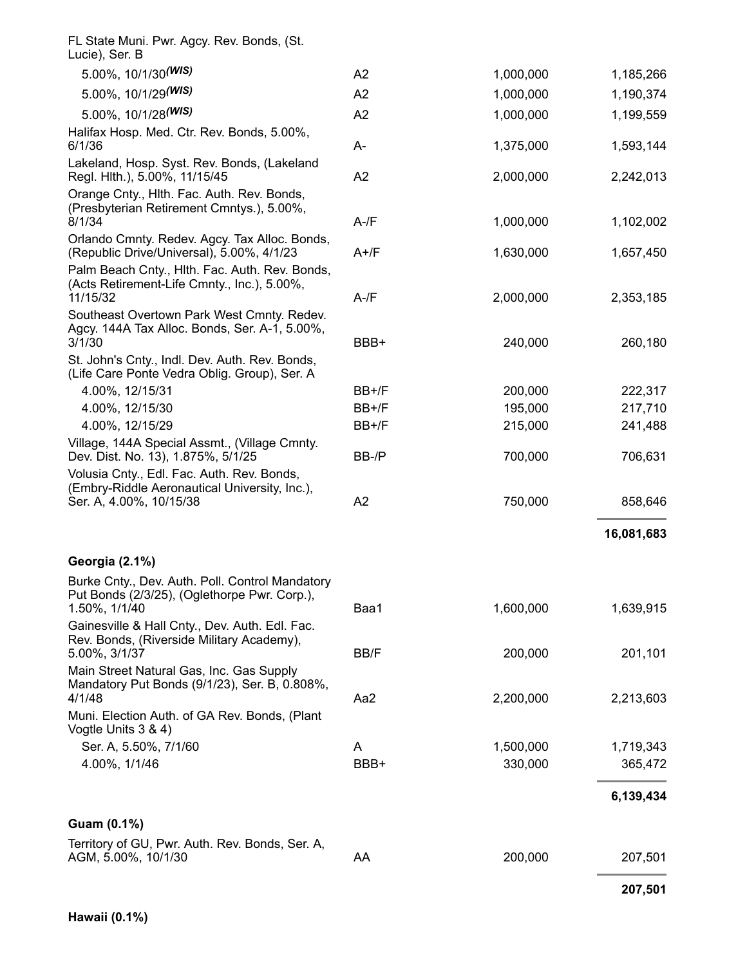|                                                                                                                                                         |          |           | 207,501    |
|---------------------------------------------------------------------------------------------------------------------------------------------------------|----------|-----------|------------|
| Territory of GU, Pwr. Auth. Rev. Bonds, Ser. A,<br>AGM, 5.00%, 10/1/30                                                                                  | AA       | 200,000   | 207,501    |
| Guam (0.1%)                                                                                                                                             |          |           |            |
|                                                                                                                                                         |          |           | 6,139,434  |
| 4.00%, 1/1/46                                                                                                                                           | BBB+     | 330,000   | 365,472    |
| Vogtle Units 3 & 4)<br>Ser. A, 5.50%, 7/1/60                                                                                                            | A        | 1,500,000 | 1,719,343  |
| 4/1/48<br>Muni. Election Auth. of GA Rev. Bonds, (Plant                                                                                                 | Aa2      | 2,200,000 | 2,213,603  |
| Main Street Natural Gas, Inc. Gas Supply<br>Mandatory Put Bonds (9/1/23), Ser. B, 0.808%,                                                               |          |           |            |
| Gainesville & Hall Cnty., Dev. Auth. Edl. Fac.<br>Rev. Bonds, (Riverside Military Academy),<br>5.00%, 3/1/37                                            | BB/F     | 200,000   | 201,101    |
| Burke Cnty., Dev. Auth. Poll. Control Mandatory<br>Put Bonds (2/3/25), (Oglethorpe Pwr. Corp.),<br>1.50%, 1/1/40                                        | Baa1     | 1,600,000 | 1,639,915  |
| Georgia (2.1%)                                                                                                                                          |          |           | 16,081,683 |
| Ser. A, 4.00%, 10/15/38                                                                                                                                 | A2       | 750,000   | 858,646    |
| Volusia Cnty., Edl. Fac. Auth. Rev. Bonds,<br>(Embry-Riddle Aeronautical University, Inc.),                                                             |          |           |            |
| Village, 144A Special Assmt., (Village Cmnty.<br>Dev. Dist. No. 13), 1.875%, 5/1/25                                                                     | BB-/P    | 700,000   | 706,631    |
| 4.00%, 12/15/29                                                                                                                                         | BB+/F    | 215,000   | 241,488    |
| 4.00%, 12/15/30                                                                                                                                         | BB+/F    | 195,000   | 217,710    |
| (Life Care Ponte Vedra Oblig. Group), Ser. A<br>4.00%, 12/15/31                                                                                         | BB+/F    | 200,000   | 222,317    |
| Southeast Overtown Park West Cmnty. Redev.<br>Agcy. 144A Tax Alloc. Bonds, Ser. A-1, 5.00%,<br>3/1/30<br>St. John's Cnty., Indl. Dev. Auth. Rev. Bonds, | BBB+     | 240,000   | 260,180    |
| Palm Beach Cnty., Hlth. Fac. Auth. Rev. Bonds,<br>(Acts Retirement-Life Cmnty., Inc.), 5.00%,<br>11/15/32                                               | $A-fF$   | 2,000,000 | 2,353,185  |
| Orlando Cmnty. Redev. Agcy. Tax Alloc. Bonds,<br>(Republic Drive/Universal), 5.00%, 4/1/23                                                              | $A+$ /F  | 1,630,000 | 1,657,450  |
| Orange Cnty., Hith. Fac. Auth. Rev. Bonds,<br>(Presbyterian Retirement Cmntys.), 5.00%,<br>8/1/34                                                       | $A - /F$ | 1,000,000 | 1,102,002  |
| Lakeland, Hosp. Syst. Rev. Bonds, (Lakeland<br>Regl. Hlth.), 5.00%, 11/15/45                                                                            | A2       | 2,000,000 | 2,242,013  |
| Halifax Hosp. Med. Ctr. Rev. Bonds, 5.00%,<br>6/1/36                                                                                                    | A-       | 1,375,000 | 1,593,144  |
| 5.00%, 10/1/28(WIS)                                                                                                                                     | A2       | 1,000,000 | 1,199,559  |
| 5.00%, 10/1/29(WIS)                                                                                                                                     | A2       | 1,000,000 | 1,190,374  |
| 5.00%, $10/1/30$ <sup>(WIS)</sup>                                                                                                                       | A2       | 1,000,000 | 1,185,266  |
| FL State Muni. Pwr. Agcy. Rev. Bonds, (St.<br>Lucie), Ser. B                                                                                            |          |           |            |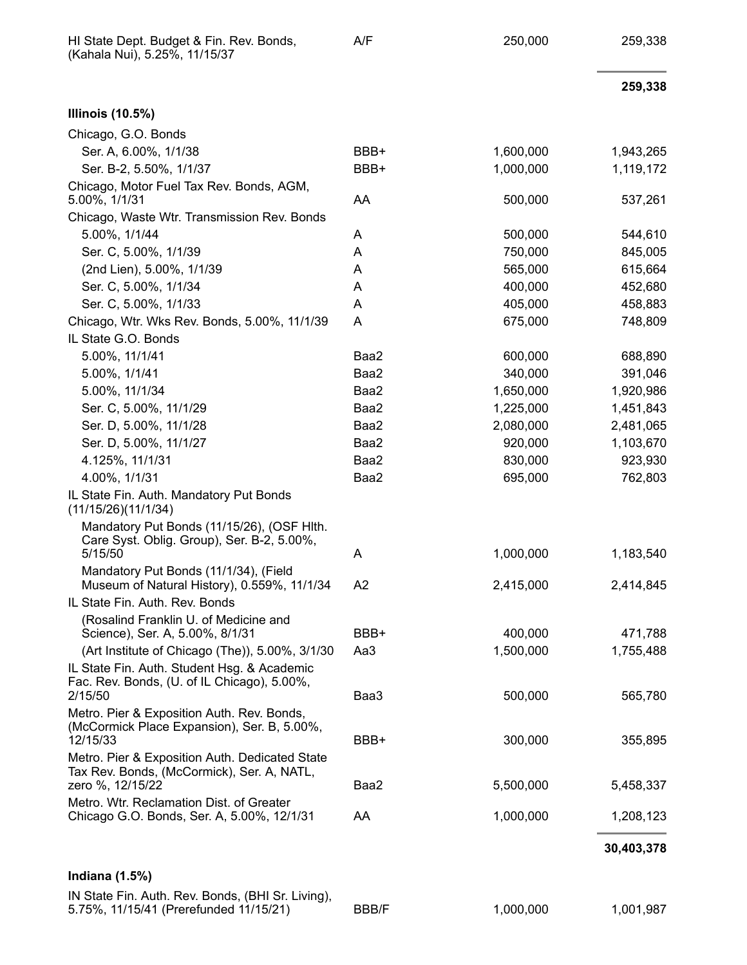| HI State Dept. Budget & Fin. Rev. Bonds,<br>(Kahala Nui), 5.25%, 11/15/37                             | A/F            | 250,000   | 259,338    |
|-------------------------------------------------------------------------------------------------------|----------------|-----------|------------|
|                                                                                                       |                |           | 259,338    |
| <b>Illinois (10.5%)</b>                                                                               |                |           |            |
| Chicago, G.O. Bonds                                                                                   |                |           |            |
| Ser. A, 6.00%, 1/1/38                                                                                 | BBB+           | 1,600,000 | 1,943,265  |
| Ser. B-2, 5.50%, 1/1/37                                                                               | BBB+           | 1,000,000 | 1,119,172  |
| Chicago, Motor Fuel Tax Rev. Bonds, AGM,<br>5.00%, 1/1/31                                             | AA             | 500,000   | 537,261    |
| Chicago, Waste Wtr. Transmission Rev. Bonds                                                           |                |           |            |
| 5.00%, 1/1/44                                                                                         | A              | 500,000   | 544,610    |
| Ser. C, 5.00%, 1/1/39                                                                                 | Α              | 750,000   | 845,005    |
| (2nd Lien), 5.00%, 1/1/39                                                                             | A              | 565,000   | 615,664    |
| Ser. C, 5.00%, 1/1/34                                                                                 | A              | 400,000   | 452,680    |
| Ser. C, 5.00%, 1/1/33                                                                                 | A              | 405,000   | 458,883    |
| Chicago, Wtr. Wks Rev. Bonds, 5.00%, 11/1/39                                                          | Α              | 675,000   | 748,809    |
| IL State G.O. Bonds                                                                                   |                |           |            |
| 5.00%, 11/1/41                                                                                        | Baa2           | 600,000   | 688,890    |
| 5.00%, 1/1/41                                                                                         | Baa2           | 340,000   | 391,046    |
| 5.00%, 11/1/34                                                                                        | Baa2           | 1,650,000 | 1,920,986  |
| Ser. C, 5.00%, 11/1/29                                                                                | Baa2           | 1,225,000 | 1,451,843  |
| Ser. D, 5.00%, 11/1/28                                                                                | Baa2           | 2,080,000 | 2,481,065  |
| Ser. D, 5.00%, 11/1/27                                                                                | Baa2           | 920,000   | 1,103,670  |
| 4.125%, 11/1/31                                                                                       | Baa2           | 830,000   | 923,930    |
| 4.00%, 1/1/31                                                                                         | Baa2           | 695,000   | 762,803    |
| IL State Fin. Auth. Mandatory Put Bonds<br>(11/15/26)(11/1/34)                                        |                |           |            |
| Mandatory Put Bonds (11/15/26), (OSF Hlth.<br>Care Syst. Oblig. Group), Ser. B-2, 5.00%,<br>5/15/50   | A              | 1,000,000 | 1,183,540  |
| Mandatory Put Bonds (11/1/34), (Field                                                                 |                |           |            |
| Museum of Natural History), 0.559%, 11/1/34                                                           | A <sub>2</sub> | 2,415,000 | 2,414,845  |
| IL State Fin. Auth. Rev. Bonds                                                                        |                |           |            |
| (Rosalind Franklin U. of Medicine and<br>Science), Ser. A, 5.00%, 8/1/31                              | BBB+           | 400,000   | 471,788    |
| (Art Institute of Chicago (The)), 5.00%, 3/1/30                                                       | Aa3            | 1,500,000 | 1,755,488  |
| IL State Fin. Auth. Student Hsg. & Academic<br>Fac. Rev. Bonds, (U. of IL Chicago), 5.00%,            |                |           |            |
| 2/15/50                                                                                               | Baa3           | 500,000   | 565,780    |
| Metro. Pier & Exposition Auth. Rev. Bonds,<br>(McCormick Place Expansion), Ser. B, 5.00%,<br>12/15/33 | BBB+           | 300,000   | 355,895    |
| Metro. Pier & Exposition Auth. Dedicated State                                                        |                |           |            |
| Tax Rev. Bonds, (McCormick), Ser. A, NATL,<br>zero %, 12/15/22                                        | Baa2           | 5,500,000 | 5,458,337  |
| Metro. Wtr. Reclamation Dist. of Greater                                                              |                |           |            |
| Chicago G.O. Bonds, Ser. A, 5.00%, 12/1/31                                                            | AA             | 1,000,000 | 1,208,123  |
|                                                                                                       |                |           | 30,403,378 |
| Indiana $(1.5%)$                                                                                      |                |           |            |
| IN State Fin. Auth. Rev. Bonds, (BHI Sr. Living),<br>5.75%, 11/15/41 (Prerefunded 11/15/21)           | <b>BBB/F</b>   | 1,000,000 | 1,001,987  |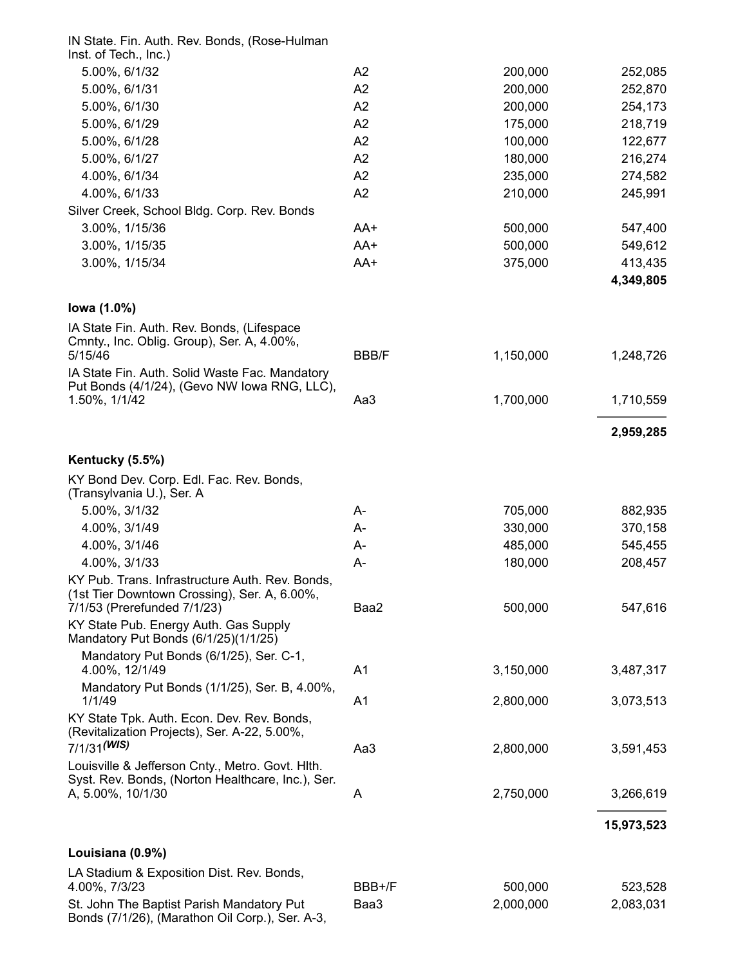| IN State. Fin. Auth. Rev. Bonds, (Rose-Hulman                                                   |                |           |            |
|-------------------------------------------------------------------------------------------------|----------------|-----------|------------|
| Inst. of Tech., Inc.)                                                                           |                |           |            |
| 5.00%, 6/1/32                                                                                   | A2             | 200,000   | 252,085    |
| 5.00%, 6/1/31                                                                                   | A2             | 200,000   | 252,870    |
| 5.00%, 6/1/30                                                                                   | A2             | 200,000   | 254,173    |
| 5.00%, 6/1/29                                                                                   | A2             | 175,000   | 218,719    |
| 5.00%, 6/1/28                                                                                   | A2             | 100,000   | 122,677    |
| 5.00%, 6/1/27                                                                                   | A2             | 180,000   | 216,274    |
| 4.00%, 6/1/34                                                                                   | A2             | 235,000   | 274,582    |
| 4.00%, 6/1/33                                                                                   | A2             | 210,000   | 245,991    |
| Silver Creek, School Bldg. Corp. Rev. Bonds                                                     |                |           |            |
| 3.00%, 1/15/36                                                                                  | AA+            | 500,000   | 547,400    |
| 3.00%, 1/15/35                                                                                  | AA+            | 500,000   | 549,612    |
| 3.00%, 1/15/34                                                                                  | AA+            | 375,000   | 413,435    |
|                                                                                                 |                |           | 4,349,805  |
| lowa (1.0%)                                                                                     |                |           |            |
| IA State Fin. Auth. Rev. Bonds, (Lifespace                                                      |                |           |            |
| Cmnty., Inc. Oblig. Group), Ser. A, 4.00%,                                                      |                |           |            |
| 5/15/46                                                                                         | <b>BBB/F</b>   | 1,150,000 | 1,248,726  |
| IA State Fin. Auth. Solid Waste Fac. Mandatory<br>Put Bonds (4/1/24), (Gevo NW Iowa RNG, LLC),  |                |           |            |
| 1.50%, 1/1/42                                                                                   | Aa3            | 1,700,000 | 1,710,559  |
|                                                                                                 |                |           |            |
|                                                                                                 |                |           | 2,959,285  |
| Kentucky (5.5%)                                                                                 |                |           |            |
| KY Bond Dev. Corp. Edl. Fac. Rev. Bonds,<br>(Transylvania U.), Ser. A                           |                |           |            |
| 5.00%, 3/1/32                                                                                   | А-             | 705,000   | 882,935    |
| 4.00%, 3/1/49                                                                                   | А-             | 330,000   | 370,158    |
| 4.00%, 3/1/46                                                                                   | А-             | 485,000   | 545,455    |
| 4.00%, 3/1/33                                                                                   | А-             | 180,000   | 208,457    |
| KY Pub. Trans. Infrastructure Auth. Rev. Bonds.<br>(1st Tier Downtown Crossing), Ser. A, 6.00%, |                |           |            |
| 7/1/53 (Prerefunded 7/1/23)                                                                     | Baa2           | 500,000   | 547,616    |
| KY State Pub. Energy Auth. Gas Supply<br>Mandatory Put Bonds (6/1/25)(1/1/25)                   |                |           |            |
| Mandatory Put Bonds (6/1/25), Ser. C-1,                                                         |                |           |            |
| 4.00%, 12/1/49                                                                                  | A <sub>1</sub> | 3,150,000 | 3,487,317  |
| Mandatory Put Bonds (1/1/25), Ser. B, 4.00%,<br>1/1/49                                          | A <sub>1</sub> | 2,800,000 | 3,073,513  |
| KY State Tpk. Auth. Econ. Dev. Rev. Bonds,                                                      |                |           |            |
| (Revitalization Projects), Ser. A-22, 5.00%,                                                    |                |           |            |
| $7/1/31$ <sup>(WIS)</sup>                                                                       | Aa3            | 2,800,000 | 3,591,453  |
| Louisville & Jefferson Cnty., Metro. Govt. Hith.                                                |                |           |            |
| Syst. Rev. Bonds, (Norton Healthcare, Inc.), Ser.                                               |                |           |            |
| A, 5.00%, 10/1/30                                                                               | A              | 2,750,000 | 3,266,619  |
|                                                                                                 |                |           | 15,973,523 |
| Louisiana (0.9%)                                                                                |                |           |            |
| LA Stadium & Exposition Dist. Rev. Bonds,                                                       |                |           |            |
| 4.00%, 7/3/23                                                                                   | BBB+/F         | 500,000   | 523,528    |
| St. John The Baptist Parish Mandatory Put<br>Bonds (7/1/26), (Marathon Oil Corp.), Ser. A-3,    | Baa3           | 2,000,000 | 2,083,031  |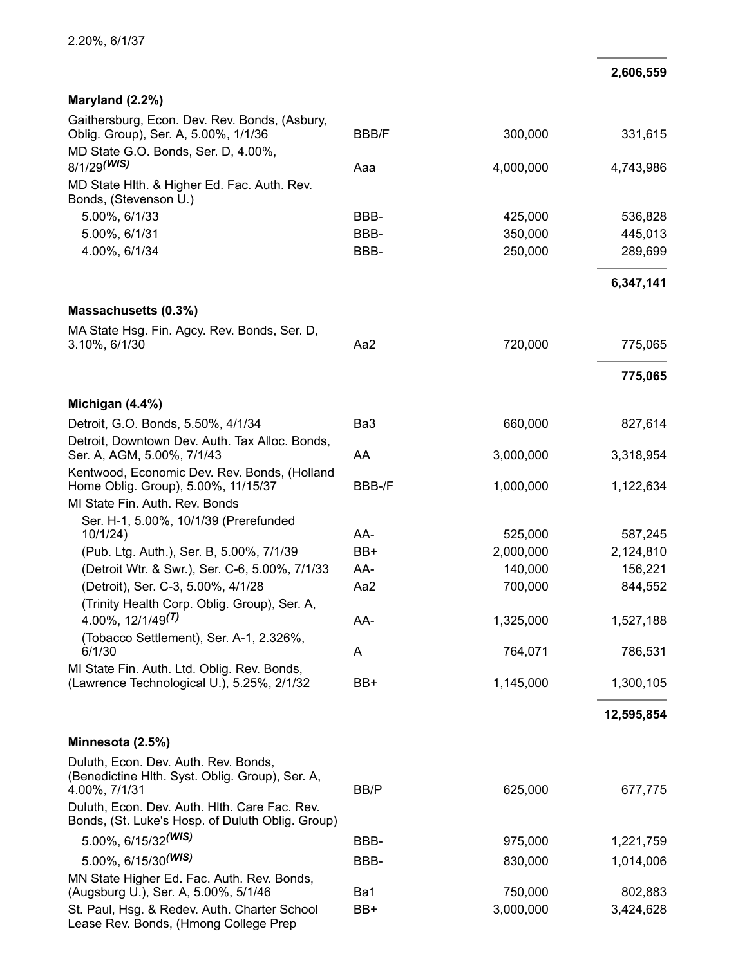#### **2,606,559**

| Maryland (2.2%)                                                                                                              |              |           |            |
|------------------------------------------------------------------------------------------------------------------------------|--------------|-----------|------------|
| Gaithersburg, Econ. Dev. Rev. Bonds, (Asbury,<br>Oblig. Group), Ser. A, 5.00%, 1/1/36<br>MD State G.O. Bonds, Ser. D, 4.00%, | <b>BBB/F</b> | 300,000   | 331,615    |
| 8/1/29(WIS)                                                                                                                  | Aaa          | 4,000,000 | 4,743,986  |
| MD State Hith. & Higher Ed. Fac. Auth. Rev.                                                                                  |              |           |            |
| Bonds, (Stevenson U.)<br>5.00%, 6/1/33                                                                                       | BBB-         | 425,000   | 536,828    |
| 5.00%, 6/1/31                                                                                                                | BBB-         | 350,000   | 445,013    |
| 4.00%, 6/1/34                                                                                                                | BBB-         | 250,000   | 289,699    |
|                                                                                                                              |              |           | 6,347,141  |
| Massachusetts (0.3%)                                                                                                         |              |           |            |
| MA State Hsg. Fin. Agcy. Rev. Bonds, Ser. D,                                                                                 |              |           |            |
| 3.10%, 6/1/30                                                                                                                | Aa2          | 720,000   | 775,065    |
|                                                                                                                              |              |           | 775,065    |
| Michigan (4.4%)                                                                                                              |              |           |            |
| Detroit, G.O. Bonds, 5.50%, 4/1/34                                                                                           | Ba3          | 660,000   | 827,614    |
| Detroit, Downtown Dev. Auth. Tax Alloc. Bonds,<br>Ser. A, AGM, 5.00%, 7/1/43                                                 | AA           | 3,000,000 | 3,318,954  |
| Kentwood, Economic Dev. Rev. Bonds, (Holland<br>Home Oblig. Group), 5.00%, 11/15/37                                          | BBB-/F       | 1,000,000 | 1,122,634  |
| MI State Fin. Auth. Rev. Bonds                                                                                               |              |           |            |
| Ser. H-1, 5.00%, 10/1/39 (Prerefunded<br>10/1/24)                                                                            | AA-          | 525,000   | 587,245    |
| (Pub. Ltg. Auth.), Ser. B, 5.00%, 7/1/39                                                                                     | BB+          | 2,000,000 | 2,124,810  |
| (Detroit Wtr. & Swr.), Ser. C-6, 5.00%, 7/1/33                                                                               | AA-          | 140,000   | 156,221    |
| (Detroit), Ser. C-3, 5.00%, 4/1/28                                                                                           | Aa2          | 700,000   | 844,552    |
| (Trinity Health Corp. Oblig. Group), Ser. A,<br>4.00%, $12/1/49^{(T)}$                                                       | AA-          | 1,325,000 | 1,527,188  |
| (Tobacco Settlement), Ser. A-1, 2.326%,                                                                                      |              |           |            |
| 6/1/30                                                                                                                       | A            | 764,071   | 786,531    |
| MI State Fin. Auth. Ltd. Oblig. Rev. Bonds,<br>(Lawrence Technological U.), 5.25%, 2/1/32                                    | BB+          | 1,145,000 | 1,300,105  |
|                                                                                                                              |              |           | 12,595,854 |
| Minnesota (2.5%)                                                                                                             |              |           |            |
| Duluth, Econ. Dev. Auth. Rev. Bonds,<br>(Benedictine Hlth. Syst. Oblig. Group), Ser. A,<br>4.00%, 7/1/31                     | BB/P         | 625,000   | 677,775    |
| Duluth, Econ. Dev. Auth. Hith. Care Fac. Rev.<br>Bonds, (St. Luke's Hosp. of Duluth Oblig. Group)                            |              |           |            |
| 5.00%, 6/15/32(WIS)                                                                                                          | BBB-         | 975,000   | 1,221,759  |
| 5.00%, 6/15/30 <sup>(WIS)</sup>                                                                                              | BBB-         | 830,000   | 1,014,006  |
| MN State Higher Ed. Fac. Auth. Rev. Bonds,<br>(Augsburg U.), Ser. A, 5.00%, 5/1/46                                           | Ba1          | 750,000   | 802,883    |
| St. Paul, Hsg. & Redev. Auth. Charter School<br>Lease Rev. Bonds, (Hmong College Prep                                        | BB+          | 3,000,000 | 3,424,628  |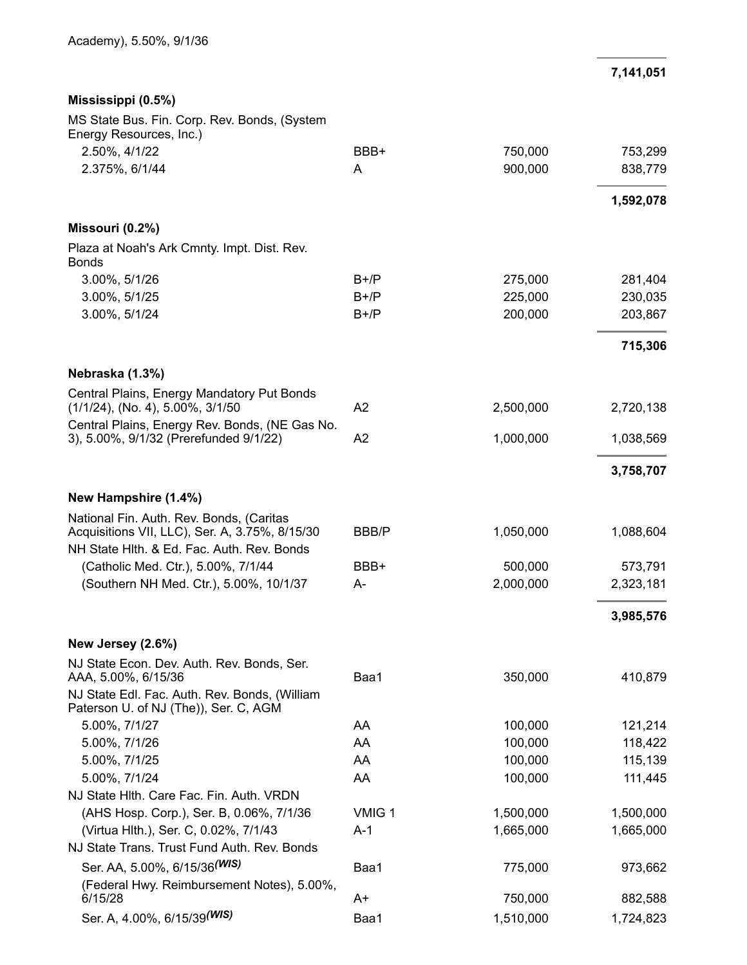**7,141,051**

| Mississippi (0.5%)                                                                     |        |                      |           |
|----------------------------------------------------------------------------------------|--------|----------------------|-----------|
| MS State Bus. Fin. Corp. Rev. Bonds, (System<br>Energy Resources, Inc.)                |        |                      |           |
| 2.50%, 4/1/22                                                                          | BBB+   | 750,000              | 753,299   |
| 2.375%, 6/1/44                                                                         | Α      | 900,000              | 838,779   |
|                                                                                        |        |                      | 1,592,078 |
| Missouri (0.2%)                                                                        |        |                      |           |
| Plaza at Noah's Ark Cmnty. Impt. Dist. Rev.<br><b>Bonds</b>                            |        |                      |           |
| 3.00%, 5/1/26                                                                          | $B+/P$ | 275,000              | 281,404   |
| 3.00%, 5/1/25                                                                          | $B+/P$ | 225,000              | 230,035   |
| 3.00%, 5/1/24                                                                          | $B+/P$ | 200,000              | 203,867   |
|                                                                                        |        |                      | 715,306   |
| Nebraska (1.3%)                                                                        |        |                      |           |
| Central Plains, Energy Mandatory Put Bonds<br>(1/1/24), (No. 4), 5.00%, 3/1/50         | A2     | 2,500,000            | 2,720,138 |
| Central Plains, Energy Rev. Bonds, (NE Gas No.                                         |        |                      |           |
| 3), 5.00%, 9/1/32 (Prerefunded 9/1/22)                                                 | A2     | 1,000,000            | 1,038,569 |
|                                                                                        |        |                      | 3,758,707 |
| New Hampshire (1.4%)                                                                   |        |                      |           |
| National Fin. Auth. Rev. Bonds, (Caritas                                               |        |                      |           |
| Acquisitions VII, LLC), Ser. A, 3.75%, 8/15/30                                         | BBB/P  | 1,050,000            | 1,088,604 |
| NH State Hith. & Ed. Fac. Auth. Rev. Bonds                                             |        |                      |           |
| (Catholic Med. Ctr.), 5.00%, 7/1/44<br>(Southern NH Med. Ctr.), 5.00%, 10/1/37         | BBB+   | 500,000<br>2,000,000 | 573,791   |
|                                                                                        | A-     |                      | 2,323,181 |
|                                                                                        |        |                      | 3,985,576 |
| New Jersey (2.6%)                                                                      |        |                      |           |
| NJ State Econ. Dev. Auth. Rev. Bonds, Ser.<br>AAA, 5.00%, 6/15/36                      | Baa1   | 350,000              | 410,879   |
| NJ State Edl. Fac. Auth. Rev. Bonds, (William<br>Paterson U. of NJ (The)), Ser. C, AGM |        |                      |           |
| 5.00%, 7/1/27                                                                          | AA     | 100,000              | 121,214   |
| 5.00%, 7/1/26                                                                          | AA     | 100,000              | 118,422   |
| 5.00%, 7/1/25                                                                          | AA     | 100,000              | 115,139   |
| 5.00%, 7/1/24                                                                          | AA     | 100,000              | 111,445   |
| NJ State Hith. Care Fac. Fin. Auth. VRDN                                               |        |                      |           |
| (AHS Hosp. Corp.), Ser. B, 0.06%, 7/1/36                                               | VMIG 1 | 1,500,000            | 1,500,000 |
| (Virtua Hlth.), Ser. C, 0.02%, 7/1/43                                                  | A-1    | 1,665,000            | 1,665,000 |
| NJ State Trans. Trust Fund Auth. Rev. Bonds                                            |        |                      |           |
| Ser. AA, 5.00%, 6/15/36 <sup>(WIS)</sup>                                               | Baa1   | 775,000              | 973,662   |
| (Federal Hwy. Reimbursement Notes), 5.00%,<br>6/15/28                                  | A+     | 750,000              | 882,588   |
| Ser. A, 4.00%, 6/15/39(WIS)                                                            | Baa1   | 1,510,000            | 1,724,823 |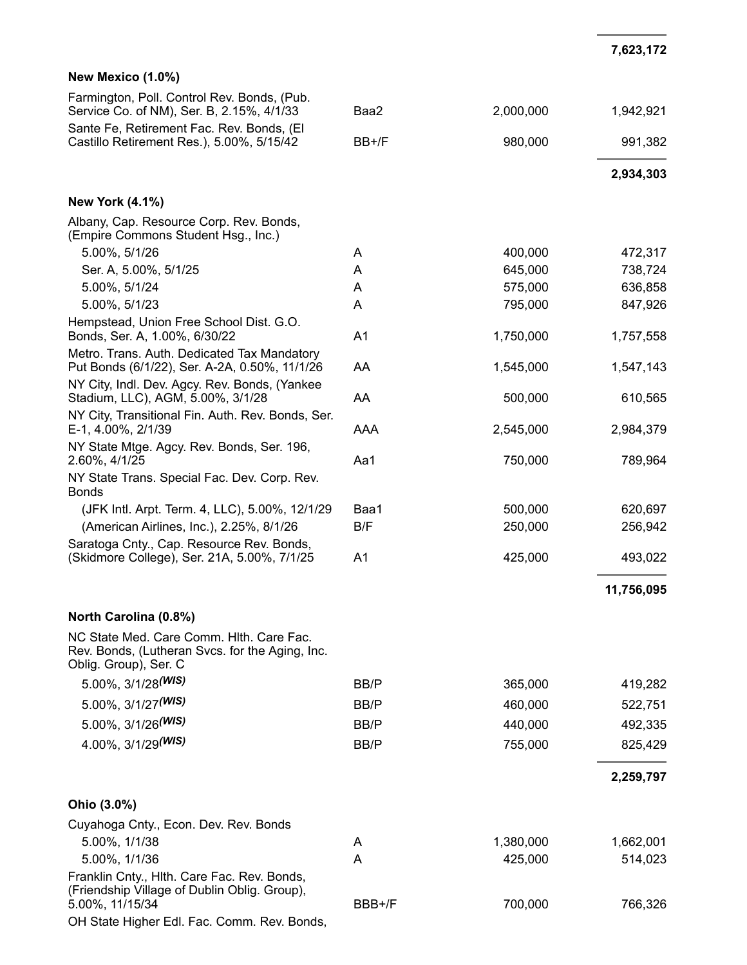# **New Mexico (1.0%)**

| Farmington, Poll. Control Rev. Bonds, (Pub.<br>Service Co. of NM), Ser. B, 2.15%, 4/1/33                             | Baa2           | 2,000,000 | 1,942,921  |
|----------------------------------------------------------------------------------------------------------------------|----------------|-----------|------------|
| Sante Fe, Retirement Fac. Rev. Bonds, (El<br>Castillo Retirement Res.), 5.00%, 5/15/42                               | BB+/F          | 980,000   | 991,382    |
|                                                                                                                      |                |           | 2,934,303  |
| <b>New York (4.1%)</b>                                                                                               |                |           |            |
| Albany, Cap. Resource Corp. Rev. Bonds,<br>(Empire Commons Student Hsg., Inc.)                                       |                |           |            |
| 5.00%, 5/1/26                                                                                                        | A              | 400,000   | 472,317    |
| Ser. A, 5.00%, 5/1/25                                                                                                | Α              | 645,000   | 738,724    |
| 5.00%, 5/1/24                                                                                                        | A              | 575,000   | 636,858    |
| 5.00%, 5/1/23                                                                                                        | Α              | 795,000   | 847,926    |
| Hempstead, Union Free School Dist. G.O.<br>Bonds, Ser. A, 1.00%, 6/30/22                                             | A <sub>1</sub> | 1,750,000 | 1,757,558  |
| Metro. Trans. Auth. Dedicated Tax Mandatory<br>Put Bonds (6/1/22), Ser. A-2A, 0.50%, 11/1/26                         | AA             | 1,545,000 | 1,547,143  |
| NY City, Indl. Dev. Agcy. Rev. Bonds, (Yankee<br>Stadium, LLC), AGM, 5.00%, 3/1/28                                   | AA             | 500,000   | 610,565    |
| NY City, Transitional Fin. Auth. Rev. Bonds, Ser.<br>E-1, 4.00%, 2/1/39                                              | AAA            | 2,545,000 | 2,984,379  |
| NY State Mtge. Agcy. Rev. Bonds, Ser. 196,<br>2.60%, 4/1/25                                                          | Aa1            | 750,000   | 789,964    |
| NY State Trans. Special Fac. Dev. Corp. Rev.<br><b>Bonds</b>                                                         |                |           |            |
| (JFK Intl. Arpt. Term. 4, LLC), 5.00%, 12/1/29                                                                       | Baa1           | 500,000   | 620,697    |
| (American Airlines, Inc.), 2.25%, 8/1/26                                                                             | B/F            | 250,000   | 256,942    |
| Saratoga Cnty., Cap. Resource Rev. Bonds,<br>(Skidmore College), Ser. 21A, 5.00%, 7/1/25                             | A <sub>1</sub> | 425,000   | 493,022    |
|                                                                                                                      |                |           | 11,756,095 |
| North Carolina (0.8%)                                                                                                |                |           |            |
| NC State Med. Care Comm. Hith. Care Fac.<br>Rev. Bonds, (Lutheran Svcs. for the Aging, Inc.<br>Oblig. Group), Ser. C |                |           |            |
| 5.00%, 3/1/28(WIS)                                                                                                   | BB/P           | 365,000   | 419,282    |
| 5.00%, 3/1/27(WIS)                                                                                                   | BB/P           | 460,000   | 522,751    |
| $5.00\%$ , $3/1/26$ <sup>(WIS)</sup>                                                                                 | BB/P           | 440,000   | 492,335    |
| 4.00%, 3/1/29(WIS)                                                                                                   | BB/P           | 755,000   | 825,429    |
|                                                                                                                      |                |           |            |
|                                                                                                                      |                |           | 2,259,797  |
| Ohio (3.0%)                                                                                                          |                |           |            |
| Cuyahoga Cnty., Econ. Dev. Rev. Bonds                                                                                |                |           |            |
| 5.00%, 1/1/38                                                                                                        | A              | 1,380,000 | 1,662,001  |
| 5.00%, 1/1/36                                                                                                        | Α              | 425,000   | 514,023    |
| Franklin Cnty., Hith. Care Fac. Rev. Bonds,<br>(Friendship Village of Dublin Oblig. Group),<br>5.00%, 11/15/34       | BBB+/F         | 700,000   | 766,326    |

OH State Higher Edl. Fac. Comm. Rev. Bonds,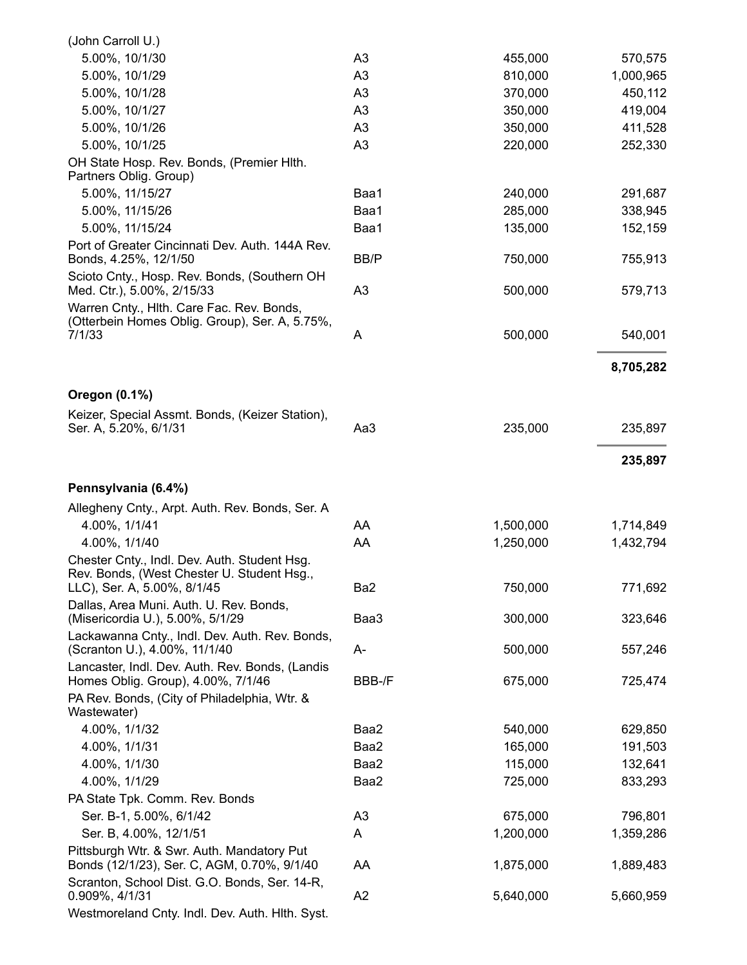| (John Carroll U.)                                                                                                         |                |           |           |
|---------------------------------------------------------------------------------------------------------------------------|----------------|-----------|-----------|
| 5.00%, 10/1/30                                                                                                            | A3             | 455,000   | 570,575   |
| 5.00%, 10/1/29                                                                                                            | A3             | 810,000   | 1,000,965 |
| 5.00%, 10/1/28                                                                                                            | A <sub>3</sub> | 370,000   | 450,112   |
| 5.00%, 10/1/27                                                                                                            | A <sub>3</sub> | 350,000   | 419,004   |
| 5.00%, 10/1/26                                                                                                            | A <sub>3</sub> | 350,000   | 411,528   |
| 5.00%, 10/1/25                                                                                                            | A3             | 220,000   | 252,330   |
| OH State Hosp. Rev. Bonds, (Premier Hith.<br>Partners Oblig. Group)                                                       |                |           |           |
| 5.00%, 11/15/27                                                                                                           | Baa1           | 240,000   | 291,687   |
| 5.00%, 11/15/26                                                                                                           | Baa1           | 285,000   | 338,945   |
| 5.00%, 11/15/24                                                                                                           | Baa1           | 135,000   | 152,159   |
| Port of Greater Cincinnati Dev. Auth. 144A Rev.<br>Bonds, 4.25%, 12/1/50                                                  | BB/P           | 750,000   | 755,913   |
| Scioto Cnty., Hosp. Rev. Bonds, (Southern OH                                                                              |                |           |           |
| Med. Ctr.), 5.00%, 2/15/33                                                                                                | A <sub>3</sub> | 500,000   | 579,713   |
| Warren Cnty., Hlth. Care Fac. Rev. Bonds,<br>(Otterbein Homes Oblig. Group), Ser. A, 5.75%,                               |                |           |           |
| 7/1/33                                                                                                                    | A              | 500,000   | 540,001   |
|                                                                                                                           |                |           | 8,705,282 |
|                                                                                                                           |                |           |           |
| Oregon (0.1%)                                                                                                             |                |           |           |
| Keizer, Special Assmt. Bonds, (Keizer Station),<br>Ser. A, 5.20%, 6/1/31                                                  | Aa3            | 235,000   | 235,897   |
|                                                                                                                           |                |           | 235,897   |
|                                                                                                                           |                |           |           |
|                                                                                                                           |                |           |           |
| Pennsylvania (6.4%)                                                                                                       |                |           |           |
| Allegheny Cnty., Arpt. Auth. Rev. Bonds, Ser. A                                                                           |                |           |           |
| 4.00%, 1/1/41                                                                                                             | AA             | 1,500,000 | 1,714,849 |
| 4.00%, 1/1/40                                                                                                             | AA             | 1,250,000 | 1,432,794 |
| Chester Cnty., Indl. Dev. Auth. Student Hsg.<br>Rev. Bonds, (West Chester U. Student Hsg.,<br>LLC), Ser. A, 5.00%, 8/1/45 | Ba2            | 750,000   | 771,692   |
| Dallas, Area Muni. Auth. U. Rev. Bonds,<br>(Misericordia U.), 5.00%, 5/1/29                                               | Baa3           | 300,000   | 323,646   |
| Lackawanna Cnty., Indl. Dev. Auth. Rev. Bonds,<br>(Scranton U.), 4.00%, 11/1/40                                           | A-             | 500,000   | 557,246   |
| Lancaster, Indl. Dev. Auth. Rev. Bonds, (Landis<br>Homes Oblig. Group), 4.00%, 7/1/46                                     | BBB-/F         | 675,000   | 725,474   |
| PA Rev. Bonds, (City of Philadelphia, Wtr. &                                                                              |                |           |           |
| Wastewater)                                                                                                               |                |           |           |
| 4.00%, 1/1/32                                                                                                             | Baa2           | 540,000   | 629,850   |
| 4.00%, 1/1/31                                                                                                             | Baa2           | 165,000   | 191,503   |
| 4.00%, 1/1/30                                                                                                             | Baa2           | 115,000   | 132,641   |
| 4.00%, 1/1/29                                                                                                             | Baa2           | 725,000   | 833,293   |
| PA State Tpk. Comm. Rev. Bonds                                                                                            |                |           |           |
| Ser. B-1, 5.00%, 6/1/42                                                                                                   | A <sub>3</sub> | 675,000   | 796,801   |
| Ser. B, 4.00%, 12/1/51                                                                                                    | A              | 1,200,000 | 1,359,286 |
| Pittsburgh Wtr. & Swr. Auth. Mandatory Put<br>Bonds (12/1/23), Ser. C, AGM, 0.70%, 9/1/40                                 | AA             | 1,875,000 | 1,889,483 |
| Scranton, School Dist. G.O. Bonds, Ser. 14-R,<br>0.909%, 4/1/31                                                           | A <sub>2</sub> | 5,640,000 | 5,660,959 |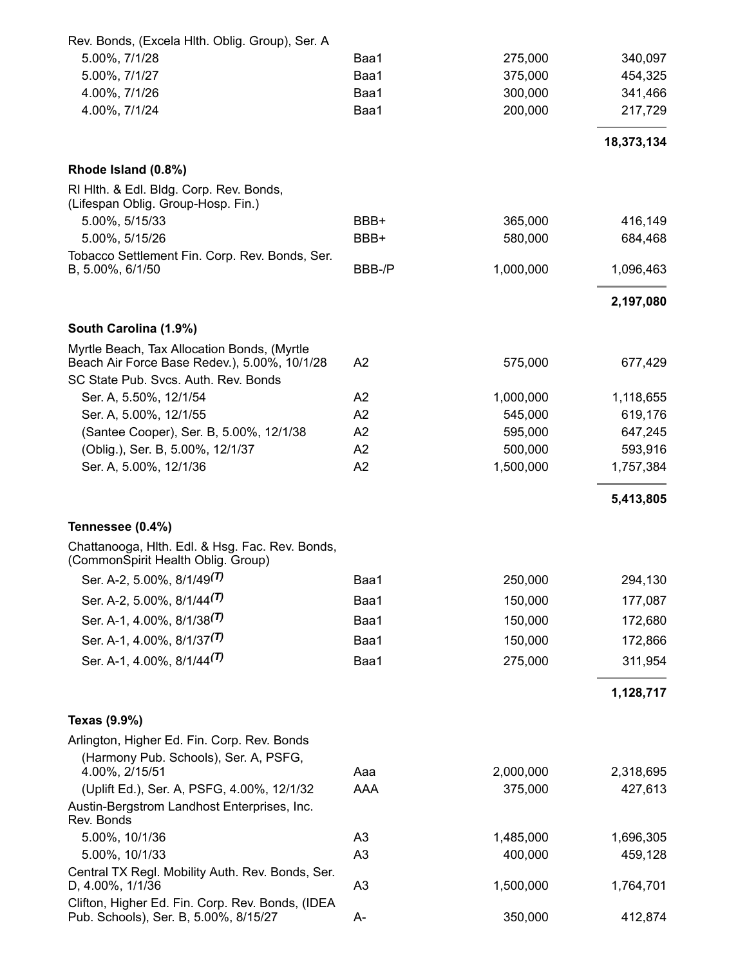| Rev. Bonds, (Excela Hith. Oblig. Group), Ser. A                                             |                |           |            |
|---------------------------------------------------------------------------------------------|----------------|-----------|------------|
| 5.00%, 7/1/28                                                                               | Baa1           | 275,000   | 340,097    |
| 5.00%, 7/1/27                                                                               | Baa1           | 375,000   | 454,325    |
| 4.00%, 7/1/26                                                                               | Baa1           | 300,000   | 341,466    |
| 4.00%, 7/1/24                                                                               | Baa1           | 200,000   | 217,729    |
|                                                                                             |                |           | 18,373,134 |
| Rhode Island (0.8%)                                                                         |                |           |            |
| RI Hith. & Edl. Bidg. Corp. Rev. Bonds,<br>(Lifespan Oblig. Group-Hosp. Fin.)               |                |           |            |
| 5.00%, 5/15/33                                                                              | BBB+           | 365,000   | 416,149    |
| 5.00%, 5/15/26                                                                              | BBB+           | 580,000   | 684,468    |
| Tobacco Settlement Fin. Corp. Rev. Bonds, Ser.                                              |                |           |            |
| B, 5.00%, 6/1/50                                                                            | BBB-/P         | 1,000,000 | 1,096,463  |
|                                                                                             |                |           | 2,197,080  |
| South Carolina (1.9%)                                                                       |                |           |            |
| Myrtle Beach, Tax Allocation Bonds, (Myrtle<br>Beach Air Force Base Redev.), 5.00%, 10/1/28 | A2             | 575,000   | 677,429    |
| SC State Pub. Svcs. Auth. Rev. Bonds                                                        |                |           |            |
| Ser. A, 5.50%, 12/1/54                                                                      | A2             | 1,000,000 | 1,118,655  |
| Ser. A, 5.00%, 12/1/55                                                                      | A2             | 545,000   | 619,176    |
| (Santee Cooper), Ser. B, 5.00%, 12/1/38                                                     | A2             | 595,000   | 647,245    |
| (Oblig.), Ser. B, 5.00%, 12/1/37                                                            | A2             | 500,000   | 593,916    |
| Ser. A, 5.00%, 12/1/36                                                                      | A2             | 1,500,000 | 1,757,384  |
|                                                                                             |                |           | 5,413,805  |
| Tennessee (0.4%)                                                                            |                |           |            |
| Chattanooga, Hith. Edl. & Hsg. Fac. Rev. Bonds,<br>(CommonSpirit Health Oblig. Group)       |                |           |            |
| Ser. A-2, 5.00%, 8/1/49 <sup>(T)</sup>                                                      | Baa1           | 250,000   | 294,130    |
| Ser. A-2, 5.00%, 8/1/44(T)                                                                  | Baa1           | 150,000   | 177,087    |
| Ser. A-1, 4.00%, 8/1/38 <sup>(T)</sup>                                                      | Baa1           | 150,000   | 172,680    |
| Ser. A-1, 4.00%, 8/1/37 <sup>(T)</sup>                                                      | Baa1           | 150,000   | 172,866    |
| Ser. A-1, 4.00%, 8/1/44 <sup>(T)</sup>                                                      | Baa1           | 275,000   | 311,954    |
|                                                                                             |                |           | 1,128,717  |
| Texas (9.9%)                                                                                |                |           |            |
| Arlington, Higher Ed. Fin. Corp. Rev. Bonds                                                 |                |           |            |
| (Harmony Pub. Schools), Ser. A, PSFG,<br>4.00%, 2/15/51                                     | Aaa            | 2,000,000 | 2,318,695  |
| (Uplift Ed.), Ser. A, PSFG, 4.00%, 12/1/32                                                  | AAA            | 375,000   | 427,613    |
| Austin-Bergstrom Landhost Enterprises, Inc.<br>Rev. Bonds                                   |                |           |            |
| 5.00%, 10/1/36                                                                              | A <sub>3</sub> | 1,485,000 | 1,696,305  |
| 5.00%, 10/1/33                                                                              | A <sub>3</sub> | 400,000   | 459,128    |
| Central TX Regl. Mobility Auth. Rev. Bonds, Ser.<br>D, 4.00%, 1/1/36                        | A <sub>3</sub> | 1,500,000 | 1,764,701  |
| Clifton, Higher Ed. Fin. Corp. Rev. Bonds, (IDEA<br>Pub. Schools), Ser. B, 5.00%, 8/15/27   | A-             | 350,000   | 412,874    |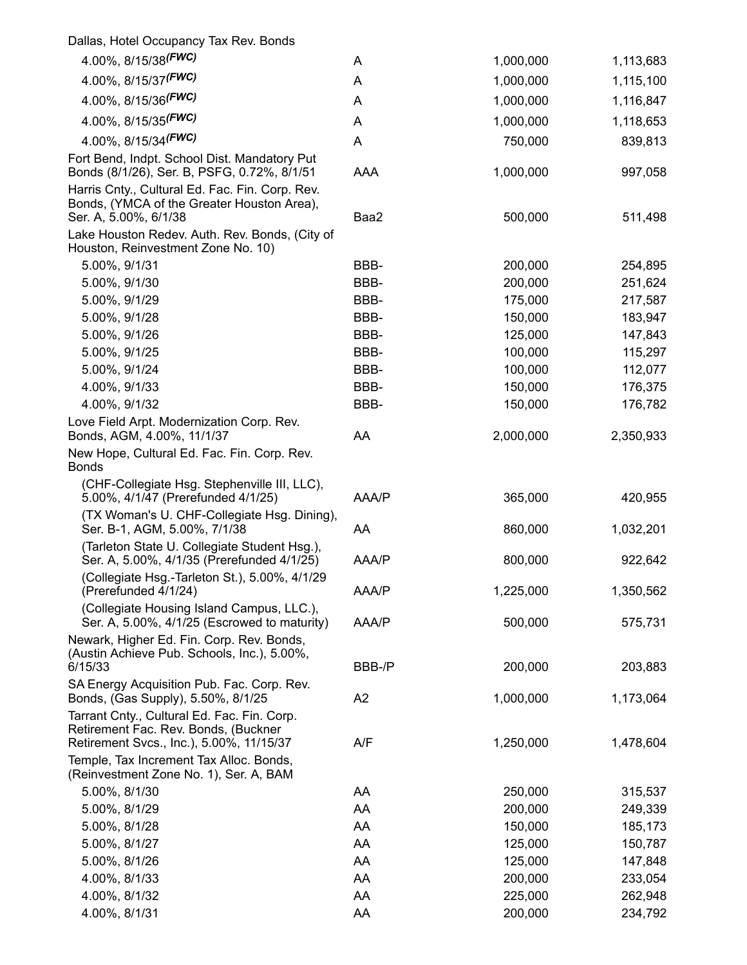| Dallas, Hotel Occupancy Tax Rev. Bonds                                                                                 |        |           |           |
|------------------------------------------------------------------------------------------------------------------------|--------|-----------|-----------|
| 4.00%, 8/15/38 (FWC)                                                                                                   | A      | 1,000,000 | 1,113,683 |
| 4.00%, 8/15/37 (FWC)                                                                                                   | Α      | 1,000,000 | 1,115,100 |
| 4.00%, 8/15/36 <sup>(FWC)</sup>                                                                                        | Α      | 1,000,000 | 1,116,847 |
| 4.00%, 8/15/35 <sup>(FWC)</sup>                                                                                        | Α      | 1,000,000 | 1,118,653 |
| 4.00%, 8/15/34 <sup>(FWC)</sup>                                                                                        | Α      | 750,000   | 839,813   |
| Fort Bend, Indpt. School Dist. Mandatory Put<br>Bonds (8/1/26), Ser. B, PSFG, 0.72%, 8/1/51                            | AAA    | 1,000,000 | 997,058   |
| Harris Cnty., Cultural Ed. Fac. Fin. Corp. Rev.<br>Bonds, (YMCA of the Greater Houston Area),<br>Ser. A, 5.00%, 6/1/38 | Baa2   | 500,000   | 511,498   |
| Lake Houston Redev. Auth. Rev. Bonds, (City of<br>Houston, Reinvestment Zone No. 10)                                   |        |           |           |
| 5.00%, 9/1/31                                                                                                          | BBB-   | 200,000   | 254,895   |
| 5.00%, 9/1/30                                                                                                          | BBB-   | 200,000   | 251,624   |
| 5.00%, 9/1/29                                                                                                          | BBB-   | 175,000   | 217,587   |
| 5.00%, 9/1/28                                                                                                          | BBB-   | 150,000   | 183,947   |
| 5.00%, 9/1/26                                                                                                          | BBB-   | 125,000   | 147,843   |
| 5.00%, 9/1/25                                                                                                          | BBB-   | 100,000   | 115,297   |
| 5.00%, 9/1/24                                                                                                          | BBB-   | 100,000   | 112,077   |
| 4.00%, 9/1/33                                                                                                          | BBB-   | 150,000   | 176,375   |
| 4.00%, 9/1/32                                                                                                          | BBB-   | 150,000   | 176,782   |
| Love Field Arpt. Modernization Corp. Rev.<br>Bonds, AGM, 4.00%, 11/1/37                                                | AA     | 2,000,000 | 2,350,933 |
| New Hope, Cultural Ed. Fac. Fin. Corp. Rev.<br><b>Bonds</b>                                                            |        |           |           |
| (CHF-Collegiate Hsg. Stephenville III, LLC),<br>5.00%, 4/1/47 (Prerefunded 4/1/25)                                     | AAA/P  | 365,000   | 420,955   |
| (TX Woman's U. CHF-Collegiate Hsg. Dining),<br>Ser. B-1, AGM, 5.00%, 7/1/38                                            | AA     | 860,000   | 1,032,201 |
| (Tarleton State U. Collegiate Student Hsg.),<br>Ser. A, 5.00%, 4/1/35 (Prerefunded 4/1/25)                             | AAA/P  | 800,000   | 922,642   |
| (Collegiate Hsg.-Tarleton St.), 5.00%, 4/1/29<br>(Prerefunded 4/1/24)                                                  | AAA/P  | 1,225,000 | 1,350,562 |
| (Collegiate Housing Island Campus, LLC.),<br>Ser. A, 5.00%, 4/1/25 (Escrowed to maturity)                              | AAA/P  | 500,000   | 575,731   |
| Newark, Higher Ed. Fin. Corp. Rev. Bonds,<br>(Austin Achieve Pub. Schools, Inc.), 5.00%,<br>6/15/33                    | BBB-/P | 200,000   | 203,883   |
| SA Energy Acquisition Pub. Fac. Corp. Rev.                                                                             |        |           |           |
| Bonds, (Gas Supply), 5.50%, 8/1/25<br>Tarrant Cnty., Cultural Ed. Fac. Fin. Corp.                                      | A2     | 1,000,000 | 1,173,064 |
| Retirement Fac. Rev. Bonds, (Buckner<br>Retirement Svcs., Inc.), 5.00%, 11/15/37                                       | A/F    | 1,250,000 | 1,478,604 |
| Temple, Tax Increment Tax Alloc. Bonds,<br>(Reinvestment Zone No. 1), Ser. A, BAM                                      |        |           |           |
| 5.00%, 8/1/30                                                                                                          | AA     | 250,000   | 315,537   |
| 5.00%, 8/1/29                                                                                                          | AA     | 200,000   | 249,339   |
| 5.00%, 8/1/28                                                                                                          | AA     | 150,000   | 185,173   |
| 5.00%, 8/1/27                                                                                                          | AA     | 125,000   | 150,787   |
| 5.00%, 8/1/26                                                                                                          | AA     | 125,000   | 147,848   |
| 4.00%, 8/1/33                                                                                                          | AA     | 200,000   | 233,054   |
| 4.00%, 8/1/32                                                                                                          | AA     | 225,000   | 262,948   |
| 4.00%, 8/1/31                                                                                                          | AA     | 200,000   | 234,792   |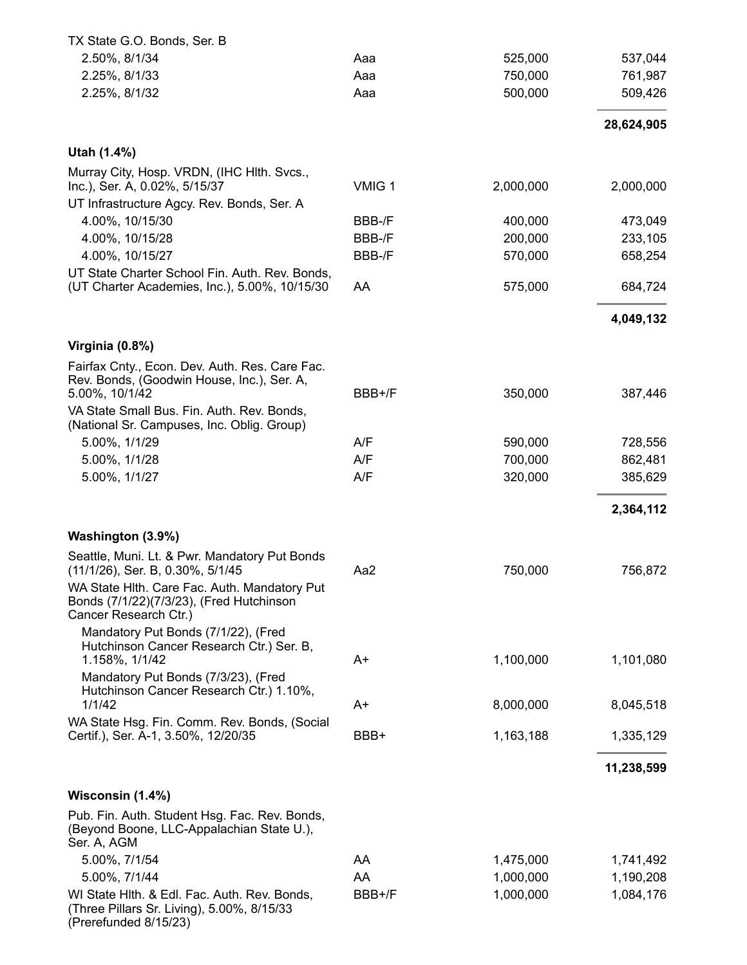| TX State G.O. Bonds, Ser. B                                                                                         |        |           |            |
|---------------------------------------------------------------------------------------------------------------------|--------|-----------|------------|
| 2.50%, 8/1/34                                                                                                       | Aaa    | 525,000   | 537,044    |
| 2.25%, 8/1/33                                                                                                       | Aaa    | 750,000   | 761,987    |
| 2.25%, 8/1/32                                                                                                       | Aaa    | 500,000   | 509,426    |
|                                                                                                                     |        |           | 28,624,905 |
| Utah (1.4%)                                                                                                         |        |           |            |
| Murray City, Hosp. VRDN, (IHC HIth. Svcs.,                                                                          |        |           |            |
| Inc.), Ser. A, 0.02%, 5/15/37                                                                                       | VMIG 1 | 2,000,000 | 2,000,000  |
| UT Infrastructure Agcy. Rev. Bonds, Ser. A<br>4.00%, 10/15/30                                                       | BBB-/F | 400,000   | 473,049    |
| 4.00%, 10/15/28                                                                                                     | BBB-/F | 200,000   | 233,105    |
|                                                                                                                     |        |           |            |
| 4.00%, 10/15/27                                                                                                     | BBB-/F | 570,000   | 658,254    |
| UT State Charter School Fin. Auth. Rev. Bonds,<br>(UT Charter Academies, Inc.), 5.00%, 10/15/30                     | AA     | 575,000   | 684,724    |
|                                                                                                                     |        |           | 4,049,132  |
| Virginia (0.8%)                                                                                                     |        |           |            |
| Fairfax Cnty., Econ. Dev. Auth. Res. Care Fac.                                                                      |        |           |            |
| Rev. Bonds, (Goodwin House, Inc.), Ser. A,                                                                          |        |           |            |
| 5.00%, 10/1/42                                                                                                      | BBB+/F | 350,000   | 387,446    |
| VA State Small Bus. Fin. Auth. Rev. Bonds,<br>(National Sr. Campuses, Inc. Oblig. Group)                            |        |           |            |
| 5.00%, 1/1/29                                                                                                       | A/F    | 590,000   | 728,556    |
| 5.00%, 1/1/28                                                                                                       | A/F    | 700,000   | 862,481    |
| 5.00%, 1/1/27                                                                                                       | A/F    | 320,000   | 385,629    |
|                                                                                                                     |        |           |            |
|                                                                                                                     |        |           | 2,364,112  |
| Washington (3.9%)                                                                                                   |        |           |            |
| Seattle, Muni. Lt. & Pwr. Mandatory Put Bonds<br>(11/1/26), Ser. B, 0.30%, 5/1/45                                   | Aa2    | 750,000   | 756,872    |
| WA State Hith. Care Fac. Auth. Mandatory Put<br>Bonds (7/1/22)(7/3/23), (Fred Hutchinson<br>Cancer Research Ctr.)   |        |           |            |
| Mandatory Put Bonds (7/1/22), (Fred                                                                                 |        |           |            |
| Hutchinson Cancer Research Ctr.) Ser. B,                                                                            |        |           |            |
| 1.158%, 1/1/42                                                                                                      | A+     | 1,100,000 | 1,101,080  |
| Mandatory Put Bonds (7/3/23), (Fred                                                                                 |        |           |            |
| Hutchinson Cancer Research Ctr.) 1.10%,<br>1/1/42                                                                   | A+     | 8,000,000 | 8,045,518  |
| WA State Hsg. Fin. Comm. Rev. Bonds, (Social                                                                        |        |           |            |
| Certif.), Ser. A-1, 3.50%, 12/20/35                                                                                 | BBB+   | 1,163,188 | 1,335,129  |
|                                                                                                                     |        |           | 11,238,599 |
| Wisconsin (1.4%)                                                                                                    |        |           |            |
| Pub. Fin. Auth. Student Hsg. Fac. Rev. Bonds,<br>(Beyond Boone, LLC-Appalachian State U.),<br>Ser. A, AGM           |        |           |            |
| 5.00%, 7/1/54                                                                                                       | AA     | 1,475,000 | 1,741,492  |
| 5.00%, 7/1/44                                                                                                       | AA     | 1,000,000 | 1,190,208  |
| WI State Hith. & Edl. Fac. Auth. Rev. Bonds,<br>(Three Pillars Sr. Living), 5.00%, 8/15/33<br>(Prerefunded 8/15/23) | BBB+/F | 1,000,000 | 1,084,176  |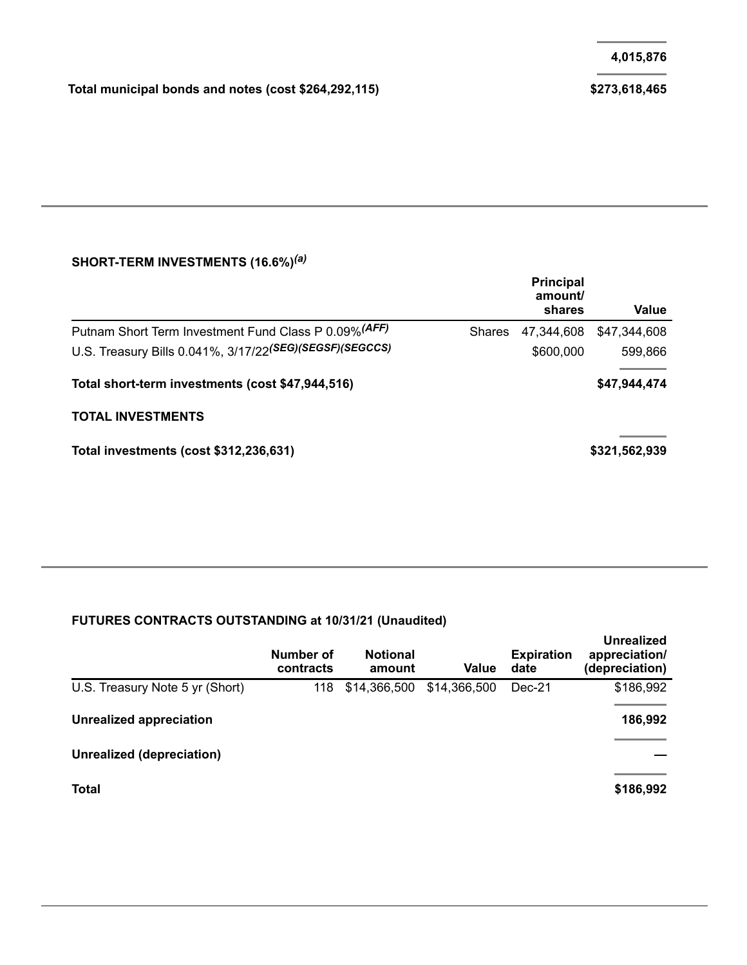#### **SHORT-TERM INVESTMENTS (16.6%)** *(a)*

|                                                         |               | <b>Principal</b><br>amount/<br>shares | Value         |
|---------------------------------------------------------|---------------|---------------------------------------|---------------|
| Putnam Short Term Investment Fund Class P 0.09% (AFF)   | <b>Shares</b> | 47,344,608                            | \$47,344,608  |
| U.S. Treasury Bills 0.041%, 3/17/22(SEG)(SEGSF)(SEGCCS) |               | \$600,000                             | 599,866       |
| Total short-term investments (cost \$47,944,516)        |               |                                       | \$47,944,474  |
| <b>TOTAL INVESTMENTS</b>                                |               |                                       |               |
| Total investments (cost \$312,236,631)                  |               |                                       | \$321,562,939 |

#### **FUTURES CONTRACTS OUTSTANDING at 10/31/21 (Unaudited)**

|                                 | Number of<br>contracts | <b>Notional</b><br>amount | Value        | <b>Expiration</b><br>date | Unrealized<br>appreciation/<br>(depreciation) |
|---------------------------------|------------------------|---------------------------|--------------|---------------------------|-----------------------------------------------|
| U.S. Treasury Note 5 yr (Short) | 118                    | \$14,366,500              | \$14,366,500 | Dec-21                    | \$186,992                                     |
| Unrealized appreciation         |                        |                           |              |                           | 186,992                                       |
| Unrealized (depreciation)       |                        |                           |              |                           |                                               |
| <b>Total</b>                    |                        |                           |              |                           | \$186,992                                     |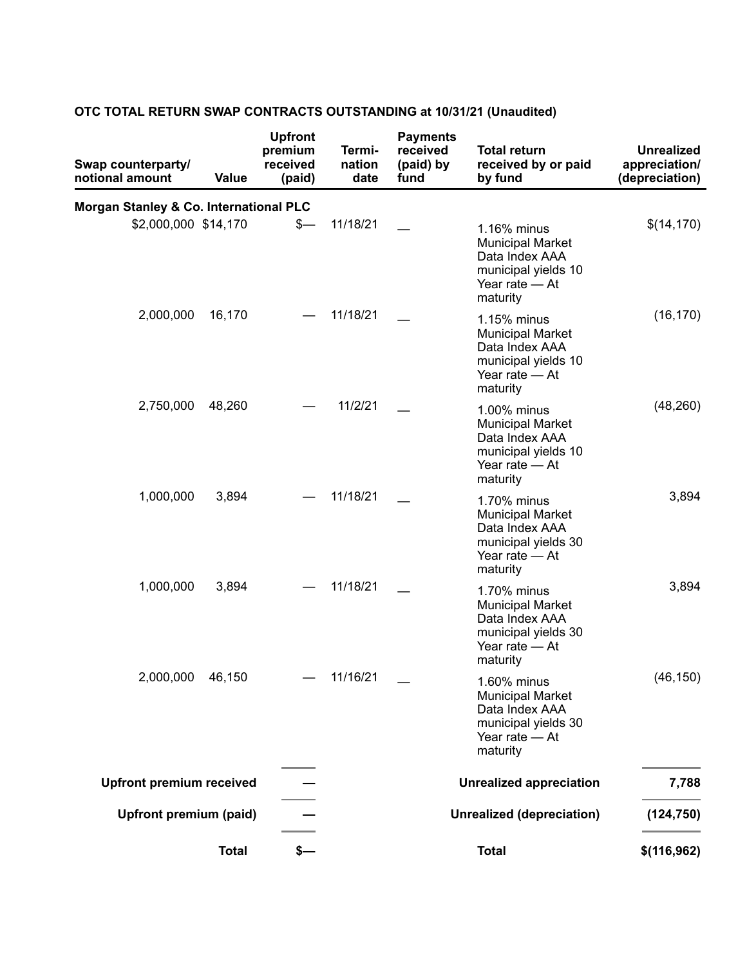| Swap counterparty/<br>notional amount  | <b>Value</b> | <b>Upfront</b><br>premium<br>received<br>(paid) | Termi-<br>nation<br>date | <b>Payments</b><br>received<br>(paid) by<br>fund | <b>Total return</b><br>received by or paid<br>by fund                                                         | <b>Unrealized</b><br>appreciation/<br>(depreciation) |
|----------------------------------------|--------------|-------------------------------------------------|--------------------------|--------------------------------------------------|---------------------------------------------------------------------------------------------------------------|------------------------------------------------------|
| Morgan Stanley & Co. International PLC |              |                                                 |                          |                                                  |                                                                                                               |                                                      |
| \$2,000,000 \$14,170                   |              | \$-                                             | 11/18/21                 |                                                  | 1.16% minus<br><b>Municipal Market</b><br>Data Index AAA<br>municipal yields 10<br>Year rate - At<br>maturity | \$(14, 170)                                          |
| 2,000,000                              | 16,170       |                                                 | 11/18/21                 |                                                  | 1.15% minus<br><b>Municipal Market</b><br>Data Index AAA<br>municipal yields 10<br>Year rate - At<br>maturity | (16, 170)                                            |
| 2,750,000                              | 48,260       |                                                 | 11/2/21                  |                                                  | 1.00% minus<br><b>Municipal Market</b><br>Data Index AAA<br>municipal yields 10<br>Year rate - At<br>maturity | (48, 260)                                            |
| 1,000,000                              | 3,894        |                                                 | 11/18/21                 |                                                  | 1.70% minus<br><b>Municipal Market</b><br>Data Index AAA<br>municipal yields 30<br>Year rate - At<br>maturity | 3,894                                                |
| 1,000,000                              | 3,894        |                                                 | 11/18/21                 |                                                  | 1.70% minus<br><b>Municipal Market</b><br>Data Index AAA<br>municipal yields 30<br>Year rate - At<br>maturity | 3,894                                                |
| 2,000,000 46,150                       |              |                                                 | 11/16/21                 |                                                  | 1.60% minus<br><b>Municipal Market</b><br>Data Index AAA<br>municipal yields 30<br>Year rate - At<br>maturity | (46, 150)                                            |
| <b>Upfront premium received</b>        |              |                                                 |                          |                                                  | <b>Unrealized appreciation</b>                                                                                | 7,788                                                |
| Upfront premium (paid)                 |              |                                                 |                          |                                                  | <b>Unrealized (depreciation)</b>                                                                              | (124, 750)                                           |
|                                        | <b>Total</b> | $s-$                                            |                          |                                                  | <b>Total</b>                                                                                                  | \$(116,962)                                          |

#### **OTC TOTAL RETURN SWAP CONTRACTS OUTSTANDING at 10/31/21 (Unaudited)**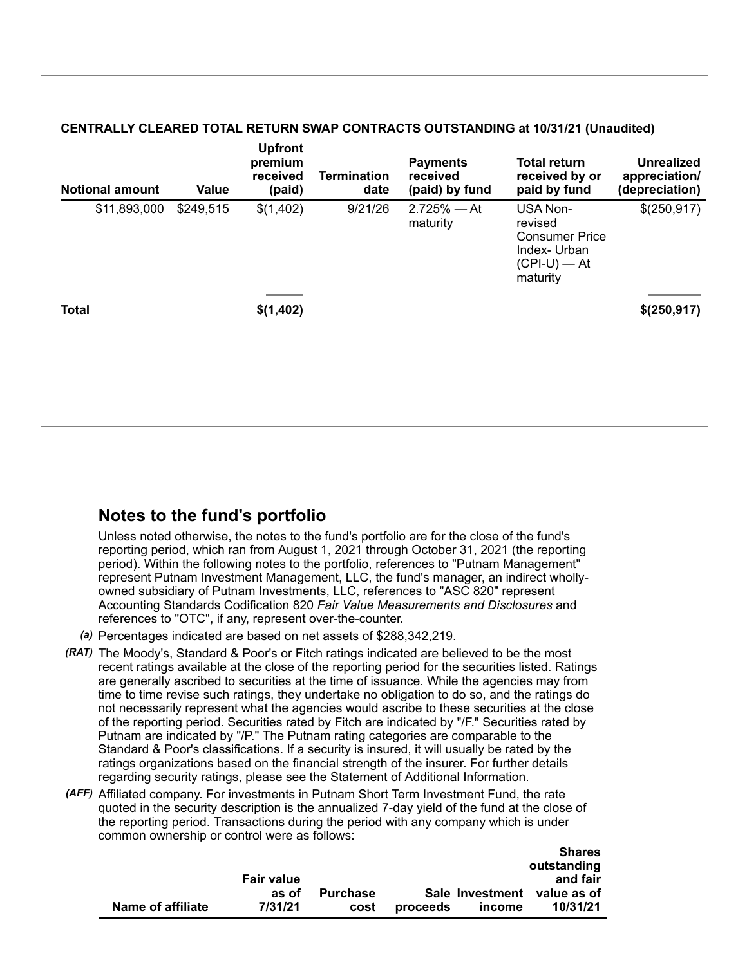#### **CENTRALLY CLEARED TOTAL RETURN SWAP CONTRACTS OUTSTANDING at 10/31/21 (Unaudited)**

**Upfront**

| <b>Notional amount</b> | <b>Value</b> | <b>Uprront</b><br>premium<br>received<br>(paid) | <b>Termination</b><br>date | <b>Payments</b><br>received<br>(paid) by fund | <b>Total return</b><br>received by or<br>paid by fund                                     | <b>Unrealized</b><br>appreciation/<br>(depreciation) |
|------------------------|--------------|-------------------------------------------------|----------------------------|-----------------------------------------------|-------------------------------------------------------------------------------------------|------------------------------------------------------|
| \$11,893,000           | \$249,515    | \$(1,402)                                       | 9/21/26                    | $2.725%$ - At<br>maturity                     | USA Non-<br>revised<br><b>Consumer Price</b><br>Index-Urban<br>$(CPI-U)$ — At<br>maturity | \$(250,917)                                          |
| <b>Total</b>           |              | \$(1,402)                                       |                            |                                               |                                                                                           | \$(250,917)                                          |

### **Notes to the fund's portfolio**

Unless noted otherwise, the notes to the fund's portfolio are for the close of the fund's reporting period, which ran from August 1, 2021 through October 31, 2021 (the reporting period). Within the following notes to the portfolio, references to "Putnam Management" represent Putnam Investment Management, LLC, the fund's manager, an indirect whollyowned subsidiary of Putnam Investments, LLC, references to "ASC 820" represent Accounting Standards Codification 820 *Fair Value Measurements and Disclosures* and references to "OTC", if any, represent over-the-counter.

- *(a)* Percentages indicated are based on net assets of \$288,342,219.
- *(RAT)* The Moody's, Standard & Poor's or Fitch ratings indicated are believed to be the most recent ratings available at the close of the reporting period for the securities listed. Ratings are generally ascribed to securities at the time of issuance. While the agencies may from time to time revise such ratings, they undertake no obligation to do so, and the ratings do not necessarily represent what the agencies would ascribe to these securities at the close of the reporting period. Securities rated by Fitch are indicated by "/F." Securities rated by Putnam are indicated by "/P." The Putnam rating categories are comparable to the Standard & Poor's classifications. If a security is insured, it will usually be rated by the ratings organizations based on the financial strength of the insurer. For further details regarding security ratings, please see the Statement of Additional Information.
- *(AFF)* Affiliated company. For investments in Putnam Short Term Investment Fund, the rate quoted in the security description is the annualized 7-day yield of the fund at the close of the reporting period. Transactions during the period with any company which is under common ownership or control were as follows:

|                   |                   |                 |          |        | <b>Shares</b>               |
|-------------------|-------------------|-----------------|----------|--------|-----------------------------|
|                   |                   |                 |          |        | outstanding                 |
|                   | <b>Fair value</b> |                 |          |        | and fair                    |
|                   | as of             | <b>Purchase</b> |          |        | Sale Investment value as of |
| Name of affiliate | 7/31/21           | cost            | proceeds | income | 10/31/21                    |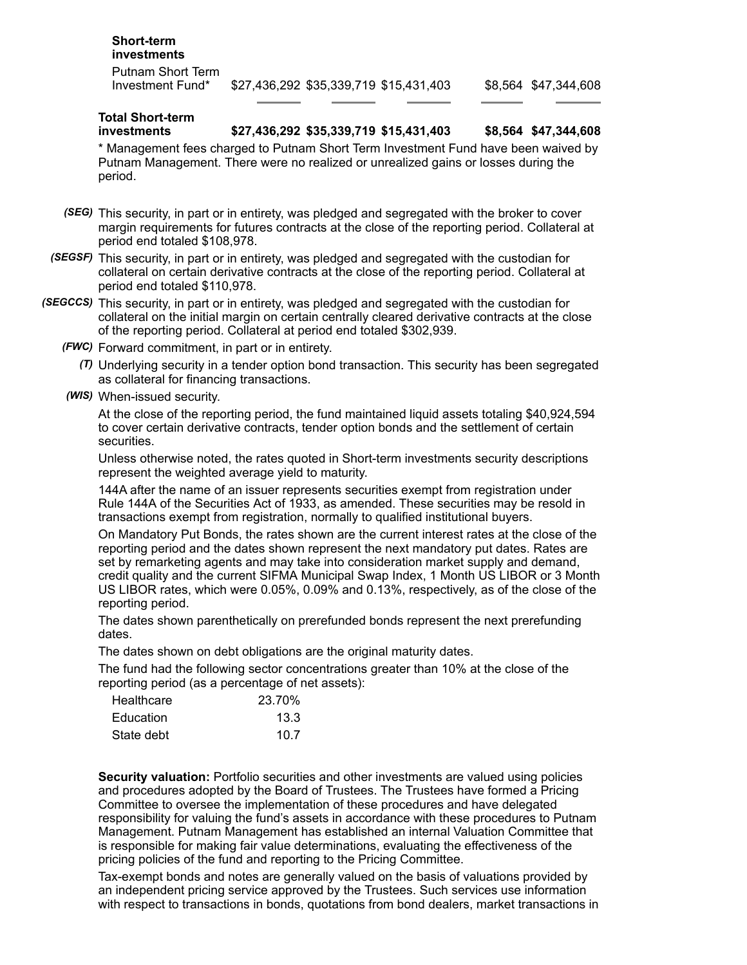| <b>Short-term</b><br>investments      |                                        |                      |
|---------------------------------------|----------------------------------------|----------------------|
| Putnam Short Term<br>Investment Fund* | \$27,436,292 \$35,339,719 \$15,431,403 | \$8,564 \$47,344,608 |

## **Total Short-term**

#### **investments \$27,436,292 \$35,339,719 \$15,431,403 \$8,564 \$47,344,608**

\* Management fees charged to Putnam Short Term Investment Fund have been waived by Putnam Management. There were no realized or unrealized gains or losses during the period.

- *(SEG)* This security, in part or in entirety, was pledged and segregated with the broker to cover margin requirements for futures contracts at the close of the reporting period. Collateral at period end totaled \$108,978.
- *(SEGSF)* This security, in part or in entirety, was pledged and segregated with the custodian for collateral on certain derivative contracts at the close of the reporting period. Collateral at period end totaled \$110,978.
- *(SEGCCS)* This security, in part or in entirety, was pledged and segregated with the custodian for collateral on the initial margin on certain centrally cleared derivative contracts at the close of the reporting period. Collateral at period end totaled \$302,939.
	- *(FWC)* Forward commitment, in part or in entirety.
		- *(T)* Underlying security in a tender option bond transaction. This security has been segregated as collateral for financing transactions.
	- *(WIS)* When-issued security.

At the close of the reporting period, the fund maintained liquid assets totaling \$40,924,594 to cover certain derivative contracts, tender option bonds and the settlement of certain securities.

Unless otherwise noted, the rates quoted in Short-term investments security descriptions represent the weighted average yield to maturity.

144A after the name of an issuer represents securities exempt from registration under Rule 144A of the Securities Act of 1933, as amended. These securities may be resold in transactions exempt from registration, normally to qualified institutional buyers.

On Mandatory Put Bonds, the rates shown are the current interest rates at the close of the reporting period and the dates shown represent the next mandatory put dates. Rates are set by remarketing agents and may take into consideration market supply and demand, credit quality and the current SIFMA Municipal Swap Index, 1 Month US LIBOR or 3 Month US LIBOR rates, which were 0.05%, 0.09% and 0.13%, respectively, as of the close of the reporting period.

The dates shown parenthetically on prerefunded bonds represent the next prerefunding dates.

The dates shown on debt obligations are the original maturity dates.

The fund had the following sector concentrations greater than 10% at the close of the reporting period (as a percentage of net assets):

| Healthcare | 23.70% |
|------------|--------|
| Education  | 13.3   |
| State debt | 10.7   |

**Security valuation:** Portfolio securities and other investments are valued using policies and procedures adopted by the Board of Trustees. The Trustees have formed a Pricing Committee to oversee the implementation of these procedures and have delegated responsibility for valuing the fund's assets in accordance with these procedures to Putnam Management. Putnam Management has established an internal Valuation Committee that is responsible for making fair value determinations, evaluating the effectiveness of the pricing policies of the fund and reporting to the Pricing Committee.

Tax-exempt bonds and notes are generally valued on the basis of valuations provided by an independent pricing service approved by the Trustees. Such services use information with respect to transactions in bonds, quotations from bond dealers, market transactions in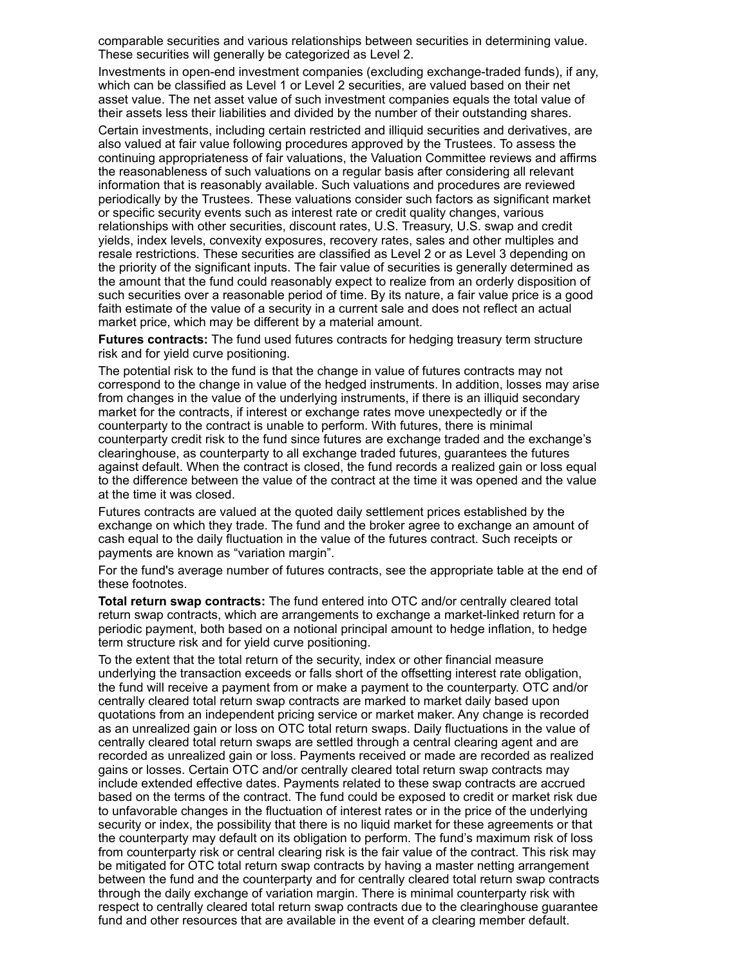comparable securities and various relationships between securities in determining value. These securities will generally be categorized as Level 2.

Investments in open-end investment companies (excluding exchange-traded funds), if any, which can be classified as Level 1 or Level 2 securities, are valued based on their net asset value. The net asset value of such investment companies equals the total value of their assets less their liabilities and divided by the number of their outstanding shares.

Certain investments, including certain restricted and illiquid securities and derivatives, are also valued at fair value following procedures approved by the Trustees. To assess the continuing appropriateness of fair valuations, the Valuation Committee reviews and affirms the reasonableness of such valuations on a regular basis after considering all relevant information that is reasonably available. Such valuations and procedures are reviewed periodically by the Trustees. These valuations consider such factors as significant market or specific security events such as interest rate or credit quality changes, various relationships with other securities, discount rates, U.S. Treasury, U.S. swap and credit yields, index levels, convexity exposures, recovery rates, sales and other multiples and resale restrictions. These securities are classified as Level 2 or as Level 3 depending on the priority of the significant inputs. The fair value of securities is generally determined as the amount that the fund could reasonably expect to realize from an orderly disposition of such securities over a reasonable period of time. By its nature, a fair value price is a good faith estimate of the value of a security in a current sale and does not reflect an actual market price, which may be different by a material amount.

**Futures contracts:** The fund used futures contracts for hedging treasury term structure risk and for yield curve positioning.

The potential risk to the fund is that the change in value of futures contracts may not correspond to the change in value of the hedged instruments. In addition, losses may arise from changes in the value of the underlying instruments, if there is an illiquid secondary market for the contracts, if interest or exchange rates move unexpectedly or if the counterparty to the contract is unable to perform. With futures, there is minimal counterparty credit risk to the fund since futures are exchange traded and the exchange's clearinghouse, as counterparty to all exchange traded futures, guarantees the futures against default. When the contract is closed, the fund records a realized gain or loss equal to the difference between the value of the contract at the time it was opened and the value at the time it was closed.

Futures contracts are valued at the quoted daily settlement prices established by the exchange on which they trade. The fund and the broker agree to exchange an amount of cash equal to the daily fluctuation in the value of the futures contract. Such receipts or payments are known as "variation margin".

For the fund's average number of futures contracts, see the appropriate table at the end of these footnotes.

**Total return swap contracts:** The fund entered into OTC and/or centrally cleared total return swap contracts, which are arrangements to exchange a market-linked return for a periodic payment, both based on a notional principal amount to hedge inflation, to hedge term structure risk and for yield curve positioning.

To the extent that the total return of the security, index or other financial measure underlying the transaction exceeds or falls short of the offsetting interest rate obligation, the fund will receive a payment from or make a payment to the counterparty. OTC and/or centrally cleared total return swap contracts are marked to market daily based upon quotations from an independent pricing service or market maker. Any change is recorded as an unrealized gain or loss on OTC total return swaps. Daily fluctuations in the value of centrally cleared total return swaps are settled through a central clearing agent and are recorded as unrealized gain or loss. Payments received or made are recorded as realized gains or losses. Certain OTC and/or centrally cleared total return swap contracts may include extended effective dates. Payments related to these swap contracts are accrued based on the terms of the contract. The fund could be exposed to credit or market risk due to unfavorable changes in the fluctuation of interest rates or in the price of the underlying security or index, the possibility that there is no liquid market for these agreements or that the counterparty may default on its obligation to perform. The fund's maximum risk of loss from counterparty risk or central clearing risk is the fair value of the contract. This risk may be mitigated for OTC total return swap contracts by having a master netting arrangement between the fund and the counterparty and for centrally cleared total return swap contracts through the daily exchange of variation margin. There is minimal counterparty risk with respect to centrally cleared total return swap contracts due to the clearinghouse guarantee fund and other resources that are available in the event of a clearing member default.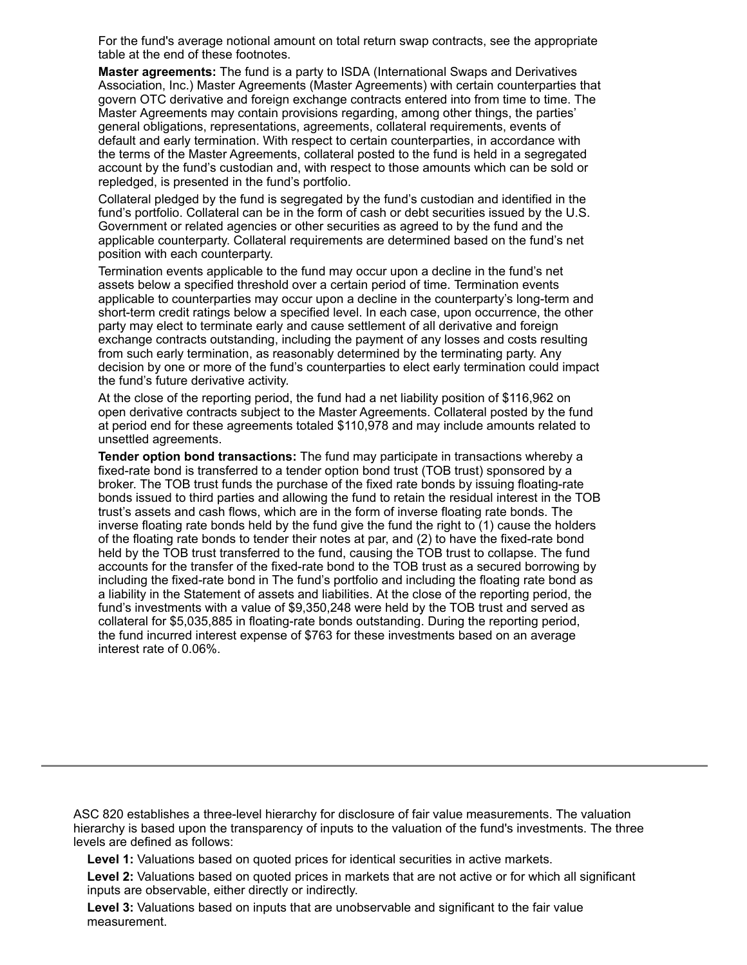For the fund's average notional amount on total return swap contracts, see the appropriate table at the end of these footnotes.

**Master agreements:** The fund is a party to ISDA (International Swaps and Derivatives Association, Inc.) Master Agreements (Master Agreements) with certain counterparties that govern OTC derivative and foreign exchange contracts entered into from time to time. The Master Agreements may contain provisions regarding, among other things, the parties' general obligations, representations, agreements, collateral requirements, events of default and early termination. With respect to certain counterparties, in accordance with the terms of the Master Agreements, collateral posted to the fund is held in a segregated account by the fund's custodian and, with respect to those amounts which can be sold or repledged, is presented in the fund's portfolio.

Collateral pledged by the fund is segregated by the fund's custodian and identified in the fund's portfolio. Collateral can be in the form of cash or debt securities issued by the U.S. Government or related agencies or other securities as agreed to by the fund and the applicable counterparty. Collateral requirements are determined based on the fund's net position with each counterparty.

Termination events applicable to the fund may occur upon a decline in the fund's net assets below a specified threshold over a certain period of time. Termination events applicable to counterparties may occur upon a decline in the counterparty's long-term and short-term credit ratings below a specified level. In each case, upon occurrence, the other party may elect to terminate early and cause settlement of all derivative and foreign exchange contracts outstanding, including the payment of any losses and costs resulting from such early termination, as reasonably determined by the terminating party. Any decision by one or more of the fund's counterparties to elect early termination could impact the fund's future derivative activity.

At the close of the reporting period, the fund had a net liability position of \$116,962 on open derivative contracts subject to the Master Agreements. Collateral posted by the fund at period end for these agreements totaled \$110,978 and may include amounts related to unsettled agreements.

**Tender option bond transactions:** The fund may participate in transactions whereby a fixed-rate bond is transferred to a tender option bond trust (TOB trust) sponsored by a broker. The TOB trust funds the purchase of the fixed rate bonds by issuing floating-rate bonds issued to third parties and allowing the fund to retain the residual interest in the TOB trust's assets and cash flows, which are in the form of inverse floating rate bonds. The inverse floating rate bonds held by the fund give the fund the right to (1) cause the holders of the floating rate bonds to tender their notes at par, and (2) to have the fixed-rate bond held by the TOB trust transferred to the fund, causing the TOB trust to collapse. The fund accounts for the transfer of the fixed-rate bond to the TOB trust as a secured borrowing by including the fixed-rate bond in The fund's portfolio and including the floating rate bond as a liability in the Statement of assets and liabilities. At the close of the reporting period, the fund's investments with a value of \$9,350,248 were held by the TOB trust and served as collateral for \$5,035,885 in floating-rate bonds outstanding. During the reporting period, the fund incurred interest expense of \$763 for these investments based on an average interest rate of 0.06%.

ASC 820 establishes a three-level hierarchy for disclosure of fair value measurements. The valuation hierarchy is based upon the transparency of inputs to the valuation of the fund's investments. The three levels are defined as follows:

**Level 1:** Valuations based on quoted prices for identical securities in active markets.

**Level 2:** Valuations based on quoted prices in markets that are not active or for which all significant inputs are observable, either directly or indirectly.

**Level 3:** Valuations based on inputs that are unobservable and significant to the fair value measurement.